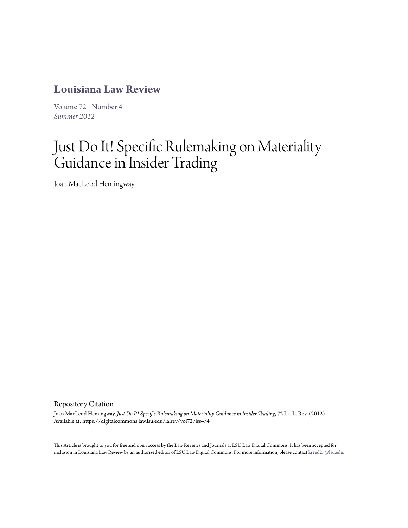# **[Louisiana Law Review](https://digitalcommons.law.lsu.edu/lalrev)**

[Volume 72](https://digitalcommons.law.lsu.edu/lalrev/vol72) | [Number 4](https://digitalcommons.law.lsu.edu/lalrev/vol72/iss4) *[Summer 2012](https://digitalcommons.law.lsu.edu/lalrev/vol72/iss4)*

# Just Do It! Specific Rulemaking on Materiality Guidance in Insider Trading

Joan MacLeod Hemingway

#### Repository Citation

Joan MacLeod Hemingway, *Just Do It! Specific Rulemaking on Materiality Guidance in Insider Trading*, 72 La. L. Rev. (2012) Available at: https://digitalcommons.law.lsu.edu/lalrev/vol72/iss4/4

This Article is brought to you for free and open access by the Law Reviews and Journals at LSU Law Digital Commons. It has been accepted for inclusion in Louisiana Law Review by an authorized editor of LSU Law Digital Commons. For more information, please contact [kreed25@lsu.edu](mailto:kreed25@lsu.edu).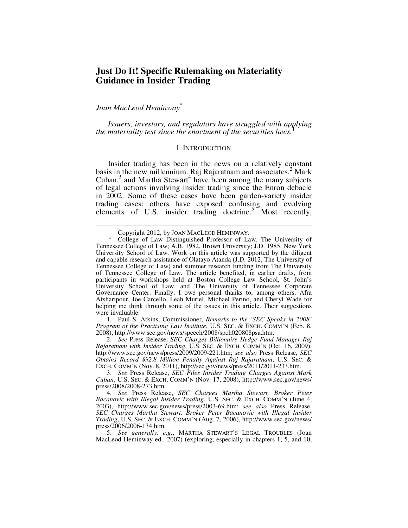# **Just Do It! Specific Rulemaking on Materiality Guidance in Insider Trading**

# *Joan MacLeod Heminway*\*

-

*Issuers, investors, and regulators have struggled with applying the materiality test since the enactment of the securities laws.* 

#### I. INTRODUCTION

Insider trading has been in the news on a relatively constant basis in the new millennium. Raj Rajaratnam and associates, $\frac{2}{3}$  Mark  $Cuban<sup>3</sup>$  and Martha Stewart<sup>4</sup> have been among the many subjects of legal actions involving insider trading since the Enron debacle in 2002. Some of these cases have been garden-variety insider trading cases; others have exposed confusing and evolving elements of U.S. insider trading doctrine.<sup>5</sup> Most recently,

 1. Paul S. Atkins, Commissioner, *Remarks to the 'SEC Speaks in 2008' Program of the Practising Law Institute*, U.S. SEC. & EXCH. COMM'N (Feb. 8, 2008), http://www.sec.gov/news/speech/2008/spch020808psa.htm.

 2. *See* Press Release, *SEC Charges Billionaire Hedge Fund Manager Raj Rajaratnam with Insider Trading*, U.S. SEC. & EXCH. COMM'N (Oct. 16, 2009), http://www.sec.gov/news/press/2009/2009-221.htm; *see also* Press Release, *SEC Obtains Record \$92.8 Million Penalty Against Raj Rajaratnam*, U.S. SEC. & EXCH. COMM'N (Nov. 8, 2011), http://sec.gov/news/press/2011/2011-233.htm.

 3. *See* Press Release, *SEC Files Insider Trading Charges Against Mark Cuban*, U.S. SEC. & EXCH. COMM'N (Nov. 17, 2008), http://www.sec.gov/news/ press/2008/2008-273.htm.

 4. *See* Press Release, *SEC Charges Martha Stewart, Broker Peter Bacanovic with Illegal Insider Trading*, U.S. SEC. & EXCH. COMM'N (June 4, 2003), http://www.sec.gov/news/press/2003-69.htm; *see also* Press Release, *SEC Charges Martha Stewart, Broker Peter Bacanovic with Illegal Insider Trading*, U.S. SEC. & EXCH. COMM'N (Aug. 7, 2006), http://www.sec.gov/news/ press/2006/2006-134.htm.

 5. *See generally, e.g.*, MARTHA STEWART'S LEGAL TROUBLES (Joan MacLeod Heminway ed., 2007) (exploring, especially in chapters 1, 5, and 10,

Copyright 2012, by JOAN MACLEOD HEMINWAY.<br>
\* College of Law Distinguished Professor of La

College of Law Distinguished Professor of Law, The University of Tennessee College of Law; A.B. 1982, Brown University; J.D. 1985, New York University School of Law. Work on this article was supported by the diligent and capable research assistance of Olatayo Atanda (J.D. 2012, The University of Tennessee College of Law) and summer research funding from The University of Tennessee College of Law. The article benefited, in earlier drafts, from participants in workshops held at Boston College Law School, St. John's University School of Law, and The University of Tennessee Corporate Governance Center. Finally, I owe personal thanks to, among others, Afra Afsharipour, Joe Carcello, Leah Muriel, Michael Perino, and Cheryl Wade for helping me think through some of the issues in this article. Their suggestions were invaluable.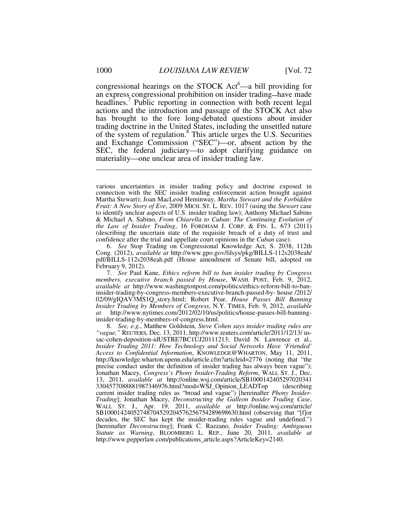congressional hearings on the STOCK  $Act^6$ —a bill providing for an express congressional prohibition on insider trading**—**have made headlines.<sup>7</sup> Public reporting in connection with both recent legal actions and the introduction and passage of the STOCK Act also has brought to the fore long-debated questions about insider trading doctrine in the United States, including the unsettled nature of the system of regulation.<sup>8</sup> This article urges the U.S. Securities and Exchange Commission ("SEC")—or, absent action by the SEC, the federal judiciary—to adopt clarifying guidance on materiality—one unclear area of insider trading law.

 6. *See* Stop Trading on Congressional Knowledge Act, S. 2038, 112th Cong. (2012), *available at* http://www.gpo.gov/fdsys/pkg/BILLS-112s2038eah/ pdf/BILLS-112s2038eah.pdf (House amendment of Senate bill, adopted on February 9, 2012).

 7. *See* Paul Kane, *Ethics reform bill to ban insider trading by Congress members, executive branch passed by House*, WASH. POST, Feb. 9, 2012, *available at* http://www.washingtonpost.com/politics/ethics-reform-bill-to-baninsider-trading-by-congress-members-executive-branch-passed-by- house /2012/ 02/09/gIQAV3MS1Q\_story.html; Robert Pear, *House Passes Bill Banning Insider Trading by Members of Congress*, N.Y. TIMES, Feb. 9, 2012, *available at* http://www.nytimes.com/2012/02/10/us/politics/house-passes-bill-banninginsider-trading-by-members-of-congress.html.

 8. *See, e.g.*, Matthew Goldstein, *Steve Cohen says insider trading rules are "vague,"* REUTERS, Dec. 13, 2011, http://www.reuters.com/article/2011/12/13/ ussac-cohen-deposition-idUSTRE7BC1UJ20111213; David N. Lawrence et al., *Insider Trading 2011: How Technology and Social Networks Have 'Friended' Access to Confidential Information*, KNOWLEDGE@WHARTON, May 11, 2011, http://knowledge.wharton.upenn.edu/article.cfm?articleid=2776 (noting that "the precise conduct under the definition of insider trading has always been vague"); Jonathan Macey, *Congress's Phony Insider-Trading Reform*, WALL ST. J., Dec. 13, 2011, *available at* http://online.wsj.com/article/SB1000142405297020341 3304577088881987346976.html?mod=WSJ\_Opinion\_LEADTop (describing current insider trading rules as "broad and vague") [hereinafter *Phony Insider-Trading*]; Jonathan Macey, *Deconstructing the Galleon Insider Trading Case*, WALL ST. J., Apr. 19, 2011, *available at* http://online.wsj.com/article/ SB10001424052748704529204576256754289698630.html (observing that "[f]or decades, the SEC has kept the insider-trading rules vague and undefined.") [hereinafter *Deconstructing*]; Frank C. Razzano, *Insider Trading: Ambiguous Statute as Warning*, BLOOMBERG L. REP., June 20, 2011, *available at* http://www.pepperlaw.com/publications\_article.aspx?ArticleKey=2140.

various uncertainties in insider trading policy and doctrine exposed in connection with the SEC insider trading enforcement action brought against Martha Stewart); Joan MacLeod Heminway, *Martha Stewart and the Forbidden Fruit: A New Story of Eve*, 2009 MICH. ST. L. REV. 1017 (using the *Stewart* case to identify unclear aspects of U.S. insider trading law); Anthony Michael Sabino & Michael A. Sabino, *From Chiarella to Cuban*: *The Continuing Evolution of the Law of Insider Trading*, 16 FORDHAM J. CORP. & FIN. L. 673 (2011) (describing the uncertain state of the requisite breach of a duty of trust and confidence after the trial and appellate court opinions in the *Cuban* case).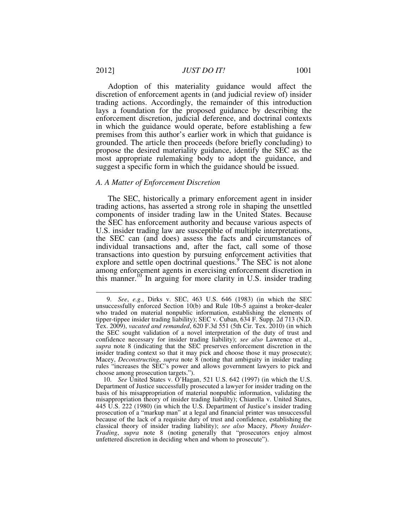Adoption of this materiality guidance would affect the discretion of enforcement agents in (and judicial review of) insider trading actions. Accordingly, the remainder of this introduction lays a foundation for the proposed guidance by describing the enforcement discretion, judicial deference, and doctrinal contexts in which the guidance would operate, before establishing a few premises from this author's earlier work in which that guidance is grounded. The article then proceeds (before briefly concluding) to propose the desired materiality guidance, identify the SEC as the most appropriate rulemaking body to adopt the guidance, and suggest a specific form in which the guidance should be issued.

#### *A. A Matter of Enforcement Discretion*

The SEC, historically a primary enforcement agent in insider trading actions, has asserted a strong role in shaping the unsettled components of insider trading law in the United States. Because the SEC has enforcement authority and because various aspects of U.S. insider trading law are susceptible of multiple interpretations, the SEC can (and does) assess the facts and circumstances of individual transactions and, after the fact, call some of those transactions into question by pursuing enforcement activities that explore and settle open doctrinal questions.<sup>9</sup> The SEC is not alone among enforcement agents in exercising enforcement discretion in this manner.<sup>10</sup> In arguing for more clarity in U.S. insider trading

 <sup>9.</sup> *See*, *e.g.*, Dirks v. SEC, 463 U.S. 646 (1983) (in which the SEC unsuccessfully enforced Section 10(b) and Rule 10b-5 against a broker-dealer who traded on material nonpublic information, establishing the elements of tipper-tippee insider trading liability); SEC v. Cuban, 634 F. Supp. 2d 713 (N.D. Tex. 2009), *vacated and remanded*, 620 F.3d 551 (5th Cir. Tex. 2010) (in which the SEC sought validation of a novel interpretation of the duty of trust and confidence necessary for insider trading liability); *see also* Lawrence et al., *supra* note 8 (indicating that the SEC preserves enforcement discretion in the insider trading context so that it may pick and choose those it may prosecute); Macey, *Deconstructing*, *supra* note 8 (noting that ambiguity in insider trading rules "increases the SEC's power and allows government lawyers to pick and choose among prosecution targets.").

 <sup>10.</sup> *See* United States v. O'Hagan, 521 U.S. 642 (1997) (in which the U.S. Department of Justice successfully prosecuted a lawyer for insider trading on the basis of his misappropriation of material nonpublic information, validating the misappropriation theory of insider trading liability); Chiarella v. United States, 445 U.S. 222 (1980) (in which the U.S. Department of Justice's insider trading prosecution of a "markup man" at a legal and financial printer was unsuccessful because of the lack of a requisite duty of trust and confidence, establishing the classical theory of insider trading liability); *see also* Macey, *Phony Insider-Trading*, *supra* note 8 (noting generally that "prosecutors enjoy almost unfettered discretion in deciding when and whom to prosecute").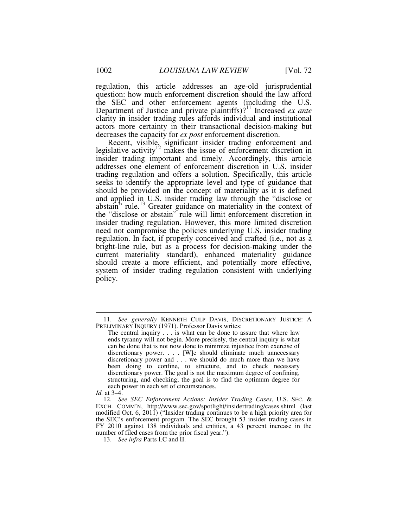regulation, this article addresses an age-old jurisprudential question: how much enforcement discretion should the law afford the SEC and other enforcement agents (including the U.S. Department of Justice and private plaintiffs)?<sup>11</sup> Increased *ex ante* clarity in insider trading rules affords individual and institutional actors more certainty in their transactional decision-making but decreases the capacity for *ex post* enforcement discretion.

Recent, visible, significant insider trading enforcement and legislative activity<sup>12</sup> makes the issue of enforcement discretion in insider trading important and timely. Accordingly, this article addresses one element of enforcement discretion in U.S. insider trading regulation and offers a solution. Specifically, this article seeks to identify the appropriate level and type of guidance that should be provided on the concept of materiality as it is defined and applied in U.S. insider trading law through the "disclose or abstain" rule.<sup>13</sup> Greater guidance on materiality in the context of the "disclose or abstain" rule will limit enforcement discretion in insider trading regulation. However, this more limited discretion need not compromise the policies underlying U.S. insider trading regulation. In fact, if properly conceived and crafted (i.e., not as a bright-line rule, but as a process for decision-making under the current materiality standard), enhanced materiality guidance should create a more efficient, and potentially more effective, system of insider trading regulation consistent with underlying policy.

 <sup>11.</sup> *See generally* KENNETH CULP DAVIS, DISCRETIONARY JUSTICE: A PRELIMINARY INQUIRY (1971). Professor Davis writes:

The central inquiry . . . is what can be done to assure that where law ends tyranny will not begin. More precisely, the central inquiry is what can be done that is not now done to minimize injustice from exercise of discretionary power. . . . [W]e should eliminate much unnecessary discretionary power and . . . we should do much more than we have been doing to confine, to structure, and to check necessary discretionary power. The goal is not the maximum degree of confining, structuring, and checking; the goal is to find the optimum degree for each power in each set of circumstances.

*Id.* at 3–4.

 <sup>12.</sup> *See SEC Enforcement Actions: Insider Trading Cases*, U.S. SEC. & EXCH. COMM'N, http://www.sec.gov/spotlight/insidertrading/cases.shtml (last modified Oct. 6, 2011) ("Insider trading continues to be a high priority area for the SEC's enforcement program. The SEC brought 53 insider trading cases in FY 2010 against 138 individuals and entities, a 43 percent increase in the number of filed cases from the prior fiscal year.").

 <sup>13.</sup> *See infra* Parts I.C and II.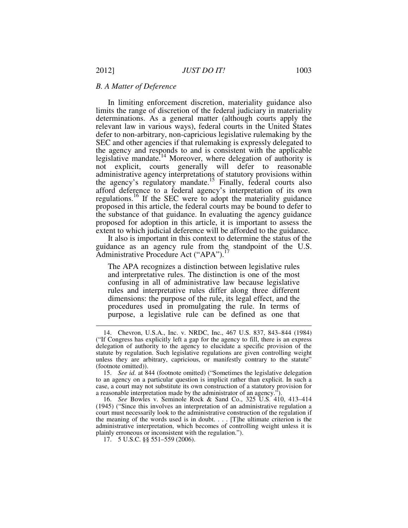#### *B. A Matter of Deference*

In limiting enforcement discretion, materiality guidance also limits the range of discretion of the federal judiciary in materiality determinations. As a general matter (although courts apply the relevant law in various ways), federal courts in the United States defer to non-arbitrary, non-capricious legislative rulemaking by the SEC and other agencies if that rulemaking is expressly delegated to the agency and responds to and is consistent with the applicable legislative mandate.<sup>14</sup> Moreover, where delegation of authority is not explicit, courts generally will defer to reasonable administrative agency interpretations of statutory provisions within the agency's regulatory mandate.<sup>15</sup> Finally, federal courts also afford deference to a federal agency's interpretation of its own regulations.<sup>16</sup> If the SEC were to adopt the materiality guidance proposed in this article, the federal courts may be bound to defer to the substance of that guidance. In evaluating the agency guidance proposed for adoption in this article, it is important to assess the extent to which judicial deference will be afforded to the guidance.

It also is important in this context to determine the status of the guidance as an agency rule from the standpoint of the U.S. Administrative Procedure Act ("APA").<sup>1</sup>

The APA recognizes a distinction between legislative rules and interpretative rules. The distinction is one of the most confusing in all of administrative law because legislative rules and interpretative rules differ along three different dimensions: the purpose of the rule, its legal effect, and the procedures used in promulgating the rule. In terms of purpose, a legislative rule can be defined as one that

 <sup>14.</sup> Chevron, U.S.A., Inc. v. NRDC, Inc., 467 U.S. 837, 843–844 (1984) ("If Congress has explicitly left a gap for the agency to fill, there is an express delegation of authority to the agency to elucidate a specific provision of the statute by regulation. Such legislative regulations are given controlling weight unless they are arbitrary, capricious, or manifestly contrary to the statute" (footnote omitted)).

 <sup>15.</sup> *See id.* at 844 (footnote omitted) ("Sometimes the legislative delegation to an agency on a particular question is implicit rather than explicit. In such a case, a court may not substitute its own construction of a statutory provision for a reasonable interpretation made by the administrator of an agency.").

 <sup>16.</sup> *See* Bowles v. Seminole Rock & Sand Co., 325 U.S. 410, 413–414 (1945) ("Since this involves an interpretation of an administrative regulation a court must necessarily look to the administrative construction of the regulation if the meaning of the words used is in doubt. . . . [T]he ultimate criterion is the administrative interpretation, which becomes of controlling weight unless it is plainly erroneous or inconsistent with the regulation.").

 <sup>17. 5</sup> U.S.C. §§ 551–559 (2006).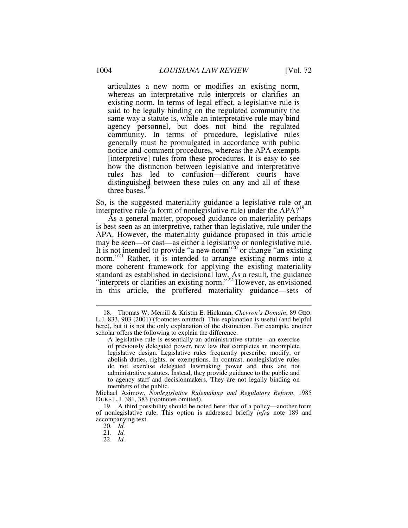articulates a new norm or modifies an existing norm, whereas an interpretative rule interprets or clarifies an existing norm. In terms of legal effect, a legislative rule is said to be legally binding on the regulated community the same way a statute is, while an interpretative rule may bind agency personnel, but does not bind the regulated community. In terms of procedure, legislative rules generally must be promulgated in accordance with public notice-and-comment procedures, whereas the APA exempts [interpretive] rules from these procedures. It is easy to see how the distinction between legislative and interpretative rules has led to confusion—different courts have distinguished between these rules on any and all of these three bases. $<sup>1</sup>$ </sup>

So, is the suggested materiality guidance a legislative rule or an interpretive rule (a form of nonlegislative rule) under the  $APA$ <sup>19</sup>

As a general matter, proposed guidance on materiality perhaps is best seen as an interpretive, rather than legislative, rule under the APA. However, the materiality guidance proposed in this article may be seen—or cast—as either a legislative or nonlegislative rule. It is not intended to provide "a new norm"<sup>20</sup> or change "an existing norm."<sup>21</sup> Rather, it is intended to arrange existing norms into a more coherent framework for applying the existing materiality standard as established in decisional law. As a result, the guidance "interprets or clarifies an existing norm."<sup>22</sup> However, as envisioned in this article, the proffered materiality guidance—sets of

Michael Asimow, *Nonlegislative Rulemaking and Regulatory Reform*, 1985 DUKE L.J. 381, 383 (footnotes omitted).

 <sup>18.</sup> Thomas W. Merrill & Kristin E. Hickman, *Chevron's Domain*, 89 GEO. L.J. 833, 903 (2001) (footnotes omitted). This explanation is useful (and helpful here), but it is not the only explanation of the distinction. For example, another scholar offers the following to explain the difference.

A legislative rule is essentially an administrative statute—an exercise of previously delegated power, new law that completes an incomplete legislative design. Legislative rules frequently prescribe, modify, or abolish duties, rights, or exemptions. In contrast, nonlegislative rules do not exercise delegated lawmaking power and thus are not administrative statutes. Instead, they provide guidance to the public and to agency staff and decisionmakers. They are not legally binding on members of the public.

 <sup>19.</sup> A third possibility should be noted here: that of a policy—another form of nonlegislative rule. This option is addressed briefly *infra* note 189 and accompanying text.

 <sup>20.</sup> *Id.*

 <sup>21.</sup> *Id.*

 <sup>22.</sup> *Id.*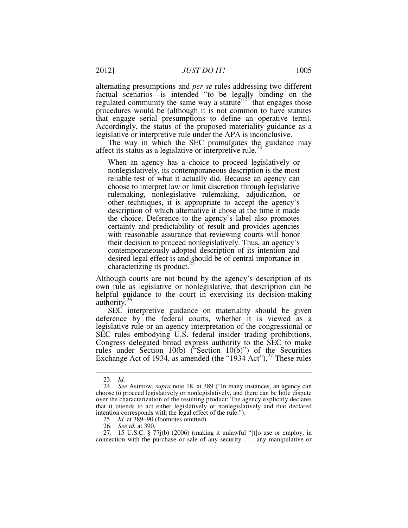alternating presumptions and *per se* rules addressing two different factual scenarios—is intended "to be legally binding on the regulated community the same way a statute<sup> $23^\circ$ </sup> that engages those procedures would be (although it is not common to have statutes that engage serial presumptions to define an operative term). Accordingly, the status of the proposed materiality guidance as a legislative or interpretive rule under the APA is inconclusive.

The way in which the SEC promulgates the guidance may affect its status as a legislative or interpretive rule.<sup>24</sup>

When an agency has a choice to proceed legislatively or nonlegislatively, its contemporaneous description is the most reliable test of what it actually did. Because an agency can choose to interpret law or limit discretion through legislative rulemaking, nonlegislative rulemaking, adjudication, or other techniques, it is appropriate to accept the agency's description of which alternative it chose at the time it made the choice. Deference to the agency's label also promotes certainty and predictability of result and provides agencies with reasonable assurance that reviewing courts will honor their decision to proceed nonlegislatively. Thus, an agency's contemporaneously-adopted description of its intention and desired legal effect is and should be of central importance in characterizing its product. $^{25}$ 

Although courts are not bound by the agency's description of its own rule as legislative or nonlegislative, that description can be helpful guidance to the court in exercising its decision-making authority.<sup>26</sup>

SEC interpretive guidance on materiality should be given deference by the federal courts, whether it is viewed as a legislative rule or an agency interpretation of the congressional or SEC rules embodying U.S. federal insider trading prohibitions. Congress delegated broad express authority to the SEC to make rules under Section 10(b) ("Section 10(b)") of the Securities Exchange Act of 1934, as amended (the "1934 Act").<sup>27</sup> These rules

 <sup>23.</sup> *Id.*

 <sup>24.</sup> *See* Asimow, *supra* note 18, at 389 ("In many instances, an agency can choose to proceed legislatively or nonlegislatively, and there can be little dispute over the characterization of the resulting product: The agency explicitly declares that it intends to act either legislatively or nonlegislatively and that declared intention corresponds with the legal effect of the rule.").

 <sup>25.</sup> *Id.* at 389–90 (footnotes omitted).

 <sup>26.</sup> *See id.* at 390.

 <sup>27. 15</sup> U.S.C. § 77j(b) (2006) (making it unlawful "[t]o use or employ, in connection with the purchase or sale of any security . . . any manipulative or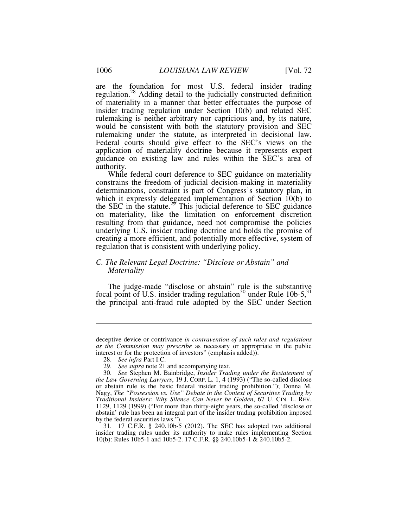are the foundation for most U.S. federal insider trading regulation.<sup>28</sup> Adding detail to the judicially constructed definition of materiality in a manner that better effectuates the purpose of insider trading regulation under Section 10(b) and related SEC rulemaking is neither arbitrary nor capricious and, by its nature, would be consistent with both the statutory provision and SEC rulemaking under the statute, as interpreted in decisional law. Federal courts should give effect to the SEC's views on the application of materiality doctrine because it represents expert guidance on existing law and rules within the SEC's area of authority.

While federal court deference to SEC guidance on materiality constrains the freedom of judicial decision-making in materiality determinations, constraint is part of Congress's statutory plan, in which it expressly delegated implementation of Section 10(b) to the SEC in the statute.<sup>29</sup> This judicial deference to SEC guidance on materiality, like the limitation on enforcement discretion resulting from that guidance, need not compromise the policies underlying U.S. insider trading doctrine and holds the promise of creating a more efficient, and potentially more effective, system of regulation that is consistent with underlying policy.

# *C. The Relevant Legal Doctrine: "Disclose or Abstain" and Materiality*

The judge-made "disclose or abstain" rule is the substantive focal point of U.S. insider trading regulation<sup>30</sup> under Rule 10b-5,<sup>31</sup> the principal anti-fraud rule adopted by the SEC under Section

<u>.</u>

deceptive device or contrivance *in contravention of such rules and regulations as the Commission may prescribe* as necessary or appropriate in the public interest or for the protection of investors" (emphasis added)).

 <sup>28.</sup> *See infra* Part I.C.

 <sup>29.</sup> *See supra* note 21 and accompanying text.

 <sup>30.</sup> *See* Stephen M. Bainbridge, *Insider Trading under the Restatement of the Law Governing Lawyers*, 19 J. CORP. L. 1, 4 (1993) ("The so-called disclose or abstain rule is the basic federal insider trading prohibition."); Donna M. Nagy, *The "Possession vs. Use" Debate in the Context of Securities Trading by Traditional Insiders: Why Silence Can Never be Golden*, 67 U. CIN. L. REV. 1129, 1129 (1999) ("For more than thirty-eight years, the so-called 'disclose or abstain' rule has been an integral part of the insider trading prohibition imposed by the federal securities laws.").

 <sup>31. 17</sup> C.F.R. § 240.10b-5 (2012). The SEC has adopted two additional insider trading rules under its authority to make rules implementing Section 10(b): Rules 10b5-1 and 10b5-2. 17 C.F.R. §§ 240.10b5-1 & 240.10b5-2.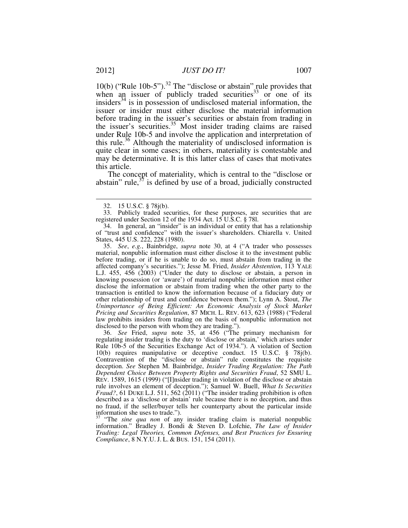10(b) ("Rule 10b-5").<sup>32</sup> The "disclose or abstain" rule provides that when an issuer of publicly traded securities  $33$  or one of its insiders<sup>34</sup> is in possession of undisclosed material information, the issuer or insider must either disclose the material information before trading in the issuer's securities or abstain from trading in the issuer's securities.<sup>35</sup> Most insider trading claims are raised under Rule 10b-5 and involve the application and interpretation of this rule.<sup>36</sup> Although the materiality of undisclosed information is quite clear in some cases; in others, materiality is contestable and may be determinative. It is this latter class of cases that motivates this article.

The concept of materiality, which is central to the "disclose or abstain" rule, $37$  is defined by use of a broad, judicially constructed

 34. In general, an "insider" is an individual or entity that has a relationship of "trust and confidence" with the issuer's shareholders. Chiarella v. United States, 445 U.S. 222, 228 (1980).

 35. *See*, *e.g.*, Bainbridge, *supra* note 30, at 4 ("A trader who possesses material, nonpublic information must either disclose it to the investment public before trading, or if he is unable to do so, must abstain from trading in the affected company's securities."); Jesse M. Fried, *Insider Abstention*, 113 YALE L.J. 455, 456 (2003) ("Under the duty to disclose or abstain, a person in knowing possession (or 'aware') of material nonpublic information must either disclose the information or abstain from trading when the other party to the transaction is entitled to know the information because of a fiduciary duty or other relationship of trust and confidence between them."); Lynn A. Stout, *The Unimportance of Being Efficient: An Economic Analysis of Stock Market Pricing and Securities Regulation*, 87 MICH. L. REV. 613, 623 (1988) ("Federal law prohibits insiders from trading on the basis of nonpublic information not disclosed to the person with whom they are trading.").

 36. *See* Fried, *supra* note 35, at 456 ("The primary mechanism for regulating insider trading is the duty to 'disclose or abstain,' which arises under Rule 10b-5 of the Securities Exchange Act of 1934."). A violation of Section 10(b) requires manipulative or deceptive conduct. 15 U.S.C. § 78j(b). Contravention of the "disclose or abstain" rule constitutes the requisite deception. *See* Stephen M. Bainbridge, *Insider Trading Regulation: The Path Dependent Choice Between Property Rights and Securities Fraud*, 52 SMU L. REV. 1589, 1615 (1999) ("[I]nsider trading in violation of the disclose or abstain rule involves an element of deception."); Samuel W. Buell, *What Is Securities Fraud?*, 61 DUKE L.J. 511, 562 (2011) ("The insider trading prohibition is often described as a 'disclose or abstain' rule because there is no deception, and thus no fraud, if the seller/buyer tells her counterparty about the particular inside information she uses to trade.").

"The sine qua non of any insider trading claim is material nonpublic information." Bradley J. Bondi & Steven D. Lofchie, *The Law of Insider Trading: Legal Theories, Common Defenses, and Best Practices for Ensuring Compliance*, 8 N.Y.U. J. L. & BUS. 151, 154 (2011).

 <sup>32. 15</sup> U.S.C. § 78j(b).

 <sup>33.</sup> Publicly traded securities, for these purposes, are securities that are registered under Section 12 of the 1934 Act. 15 U.S.C. § 78l.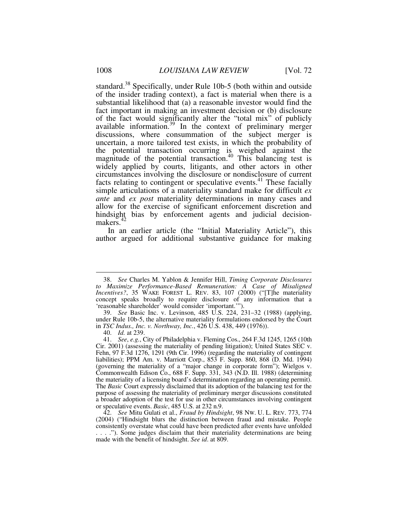standard.<sup>38</sup> Specifically, under Rule 10b-5 (both within and outside of the insider trading context), a fact is material when there is a substantial likelihood that (a) a reasonable investor would find the fact important in making an investment decision or (b) disclosure of the fact would significantly alter the "total mix" of publicly available information.<sup>39</sup> In the context of preliminary merger discussions, where consummation of the subject merger is uncertain, a more tailored test exists, in which the probability of the potential transaction occurring is weighed against the magnitude of the potential transaction.<sup>40</sup> This balancing test is widely applied by courts, litigants, and other actors in other circumstances involving the disclosure or nondisclosure of current facts relating to contingent or speculative events.<sup>41</sup> These facially simple articulations of a materiality standard make for difficult *ex ante* and *ex post* materiality determinations in many cases and allow for the exercise of significant enforcement discretion and hindsight bias by enforcement agents and judicial decisionmakers.<sup>42</sup>

In an earlier article (the "Initial Materiality Article"), this author argued for additional substantive guidance for making

 <sup>38.</sup> *See* Charles M. Yablon & Jennifer Hill, *Timing Corporate Disclosures to Maximize Performance-Based Remuneration: A Case of Misaligned Incentives?*, 35 WAKE FOREST L. REV. 83, 107 (2000) ("[T]he materiality concept speaks broadly to require disclosure of any information that a 'reasonable shareholder' would consider 'important.'").

 <sup>39.</sup> *See* Basic Inc. v. Levinson, 485 U.S. 224, 231–32 (1988) (applying, under Rule 10b-5, the alternative materiality formulations endorsed by the Court in *TSC Indus., Inc. v. Northway, Inc.*, 426 U.S. 438, 449 (1976)).

 <sup>40.</sup> *Id.* at 239.

 <sup>41.</sup> *See*, *e.g.*, City of Philadelphia v. Fleming Cos., 264 F.3d 1245, 1265 (10th Cir. 2001) (assessing the materiality of pending litigation); United States SEC v. Fehn, 97 F.3d 1276, 1291 (9th Cir. 1996) (regarding the materiality of contingent liabilities); PPM Am. v. Marriott Corp., 853 F. Supp. 860, 868 (D. Md. 1994) (governing the materiality of a "major change in corporate form"); Wielgos v. Commonwealth Edison Co., 688 F. Supp. 331, 343 (N.D. Ill. 1988) (determining the materiality of a licensing board's determination regarding an operating permit). The *Basic* Court expressly disclaimed that its adoption of the balancing test for the purpose of assessing the materiality of preliminary merger discussions constituted a broader adoption of the test for use in other circumstances involving contingent or speculative events. *Basic*, 485 U.S. at 232 n.9.

 <sup>42.</sup> *See* Mitu Gulati et al., *Fraud by Hindsight*, 98 NW. U. L. REV. 773, 774 (2004) ("Hindsight blurs the distinction between fraud and mistake. People consistently overstate what could have been predicted after events have unfolded . . . ."). Some judges disclaim that their materiality determinations are being made with the benefit of hindsight. *See id*. at 809.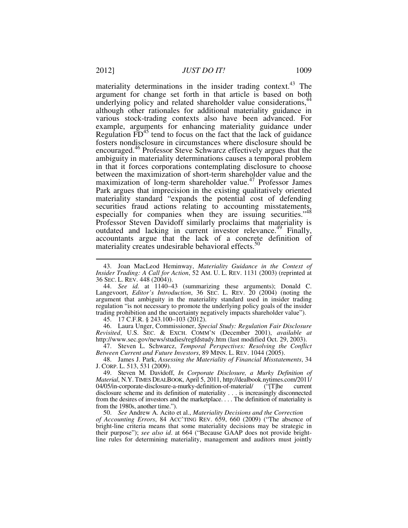materiality determinations in the insider trading context.<sup>43</sup> The argument for change set forth in that article is based on both underlying policy and related shareholder value considerations,<sup>44</sup> although other rationales for additional materiality guidance in various stock-trading contexts also have been advanced. For example, arguments for enhancing materiality guidance under Regulation  $\overline{FD}^{45}$  tend to focus on the fact that the lack of guidance fosters nondisclosure in circumstances where disclosure should be encouraged.<sup>46</sup> Professor Steve Schwarcz effectively argues that the ambiguity in materiality determinations causes a temporal problem in that it forces corporations contemplating disclosure to choose between the maximization of short-term shareholder value and the maximization of long-term shareholder value.<sup>47</sup> Professor James Park argues that imprecision in the existing qualitatively oriented materiality standard "expands the potential cost of defending securities fraud actions relating to accounting misstatements, especially for companies when they are issuing securities."<sup>48</sup> Professor Steven Davidoff similarly proclaims that materiality is outdated and lacking in current investor relevance.<sup>49</sup> Finally, accountants argue that the lack of a concrete definition of materiality creates undesirable behavioral effects.<sup>50</sup>

 44. *See id.* at 1140–43 (summarizing these arguments); Donald C. Langevoort, *Editor's Introduction*, 36 SEC. L. REV. 20 (2004) (noting the argument that ambiguity in the materiality standard used in insider trading regulation "is not necessary to promote the underlying policy goals of the insider trading prohibition and the uncertainty negatively impacts shareholder value").

45. 17 C.F.R. § 243.100–103 (2012).

 46. Laura Unger, Commissioner, *Special Study: Regulation Fair Disclosure Revisited*, U.S. SEC. & EXCH. COMM'N (December 2001), *available at* http://www.sec.gov/news/studies/regfdstudy.htm (last modified Oct. 29, 2003).

 47. Steven L. Schwarcz, *Temporal Perspectives: Resolving the Conflict Between Current and Future Investors*, 89 MINN. L. REV. 1044 (2005).

 48. James J. Park, *Assessing the Materiality of Financial Misstatements*, 34 J. CORP. L. 513, 531 (2009).

 49. Steven M. Davidoff, *In Corporate Disclosure, a Murky Definition of Material*, N.Y. TIMES DEALBOOK, April 5, 2011, http://dealbook.nytimes.com/2011/<br>04/05/in-corporate-disclosure-a-murky-definition-of-material/ ("[T]he current 04/05/in-corporate-disclosure-a-murky-definition-of-material/ ("[T]he current disclosure scheme and its definition of materiality . . . is increasingly disconnected from the desires of investors and the marketplace. . . . The definition of materiality is from the 1980s, another time.").

 50. *See* Andrew A. Acito et al., *Materiality Decisions and the Correction of Accounting Errors*, 84 ACC'TING REV. 659, 660 (2009) ("The absence of bright-line criteria means that some materiality decisions may be strategic in their purpose"); *see also id*. at 664 ("Because GAAP does not provide brightline rules for determining materiality, management and auditors must jointly

 <sup>43.</sup> Joan MacLeod Heminway, *Materiality Guidance in the Context of Insider Trading: A Call for Action*, 52 AM. U. L. REV. 1131 (2003) (reprinted at 36 SEC. L. REV. 448 (2004)).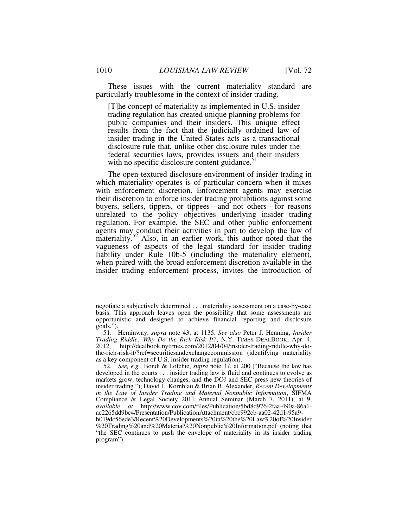These issues with the current materiality standard are particularly troublesome in the context of insider trading.

[T]he concept of materiality as implemented in U.S. insider trading regulation has created unique planning problems for public companies and their insiders. This unique effect results from the fact that the judicially ordained law of insider trading in the United States acts as a transactional disclosure rule that, unlike other disclosure rules under the federal securities laws, provides issuers and their insiders with no specific disclosure content guidance.<sup>51</sup>

The open-textured disclosure environment of insider trading in which materiality operates is of particular concern when it mixes with enforcement discretion. Enforcement agents may exercise their discretion to enforce insider trading prohibitions against some buyers, sellers, tippers, or tippees—and not others—for reasons unrelated to the policy objectives underlying insider trading regulation. For example, the SEC and other public enforcement agents may conduct their activities in part to develop the law of materiality.<sup>52</sup> Also, in an earlier work, this author noted that the vagueness of aspects of the legal standard for insider trading liability under Rule 10b-5 (including the materiality element), when paired with the broad enforcement discretion available in the insider trading enforcement process, invites the introduction of

<u>.</u>

negotiate a subjectively determined . . . materiality assessment on a case-by-case basis. This approach leaves open the possibility that some assessments are opportunistic and designed to achieve financial reporting and disclosure goals.").

 <sup>51.</sup> Heminway, *supra* note 43, at 1135. *See also* Peter J. Henning, *Insider Trading Riddle: Why Do the Rich Risk It?*, N.Y. TIMES DEALBOOK, Apr. 4, 2012, http://dealbook.nytimes.com/2012/04/04/insider-trading-riddle-why-dothe-rich-risk-it/?ref=securitiesandexchangecommission (identifying materiality as a key component of U.S. insider trading regulation).

 <sup>52.</sup> *See, e.g.*, Bondi & Lofchie, *supra* note 37, at 200 ("Because the law has developed in the courts . . . insider trading law is fluid and continues to evolve as markets grow, technology changes, and the DOJ and SEC press new theories of insider trading."); David L. Kornblau & Brian B. Alexander, *Recent Developments in the Law of Insider Trading and Material Nonpublic Information*, SIFMA Compliance & Legal Society 2011 Annual Seminar (March 7, 2011), at 9, *available at* http://www.cov.com/files/Publication/5bd8d976-2faa-490a-86a1 ac2265dd9bc4/Presentation/PublicationAttachment/cbc992cb-aa02-42d1-95a9 b019dc56ede3/Recent%20Developments%20in%20the%20Law%20of%20Insider %20Trading%20and%20Material%20Nonpublic%20Information.pdf (noting that "the SEC continues to push the envelope of materiality in its insider trading program").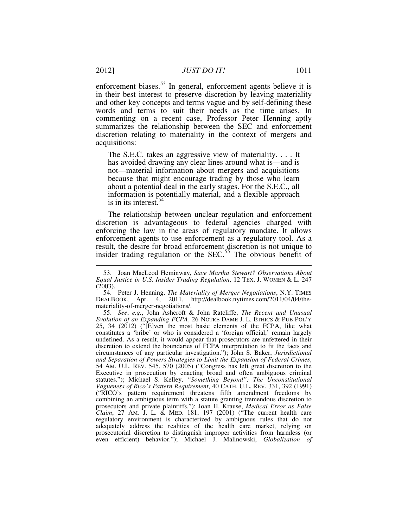enforcement biases.<sup>53</sup> In general, enforcement agents believe it is in their best interest to preserve discretion by leaving materiality and other key concepts and terms vague and by self-defining these words and terms to suit their needs as the time arises. In commenting on a recent case, Professor Peter Henning aptly summarizes the relationship between the SEC and enforcement discretion relating to materiality in the context of mergers and acquisitions:

The S.E.C. takes an aggressive view of materiality. . . . It has avoided drawing any clear lines around what is—and is not—material information about mergers and acquisitions because that might encourage trading by those who learn about a potential deal in the early stages. For the S.E.C., all information is potentially material, and a flexible approach is in its interest. $54$ 

The relationship between unclear regulation and enforcement discretion is advantageous to federal agencies charged with enforcing the law in the areas of regulatory mandate. It allows enforcement agents to use enforcement as a regulatory tool. As a result, the desire for broad enforcement discretion is not unique to insider trading regulation or the SEC.<sup>55</sup> The obvious benefit of

 <sup>53.</sup> Joan MacLeod Heminway, *Save Martha Stewart? Observations About Equal Justice in U.S. Insider Trading Regulation*, 12 TEX. J. WOMEN & L. 247 (2003).

 <sup>54.</sup> Peter J. Henning, *The Materiality of Merger Negotiations*, N.Y. TIMES DEALBOOK, Apr. 4, 2011, http://dealbook.nytimes.com/2011/04/04/themateriality-of-merger-negotiations/.

 <sup>55.</sup> *See*, *e.g.*, John Ashcroft & John Ratcliffe, *The Recent and Unusual Evolution of an Expanding FCPA*, 26 NOTRE DAME J. L. ETHICS & PUB POL'Y 25, 34 (2012) ("[E]ven the most basic elements of the FCPA, like what constitutes a 'bribe' or who is considered a 'foreign official,' remain largely undefined. As a result, it would appear that prosecutors are unfettered in their discretion to extend the boundaries of FCPA interpretation to fit the facts and circumstances of any particular investigation."); John S. Baker, *Jurisdictional and Separation of Powers Strategies to Limit the Expansion of Federal Crimes*, 54 AM. U.L. REV. 545, 570 (2005) ("Congress has left great discretion to the Executive in prosecution by enacting broad and often ambiguous criminal statutes."); Michael S. Kelley, *"Something Beyond": The Unconstitutional Vagueness of Rico's Pattern Requirement*, 40 CATH. U.L. REV. 331, 392 (1991) ("RICO's pattern requirement threatens fifth amendment freedoms by combining an ambiguous term with a statute granting tremendous discretion to prosecutors and private plaintiffs."); Joan H. Krause, *Medical Error as False Claim*, 27 AM. J. L. & MED. 181, 197 (2001) ("The current health care regulatory environment is characterized by ambiguous rules that do not adequately address the realities of the health care market, relying on prosecutorial discretion to distinguish improper activities from harmless (or even efficient) behavior."); Michael J. Malinowski, *Globalization of*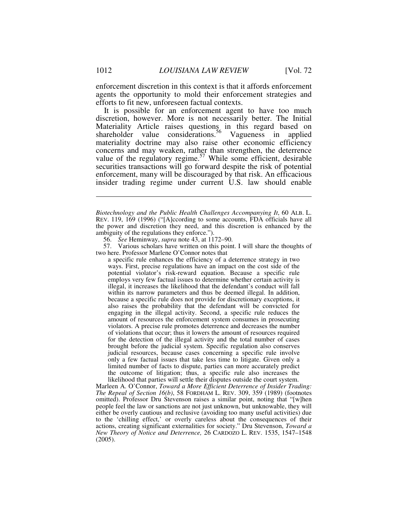enforcement discretion in this context is that it affords enforcement agents the opportunity to mold their enforcement strategies and efforts to fit new, unforeseen factual contexts.

It is possible for an enforcement agent to have too much discretion, however. More is not necessarily better. The Initial Materiality Article raises questions in this regard based on shareholder value considerations.<sup>56</sup> Vagueness in applied materiality doctrine may also raise other economic efficiency concerns and may weaken, rather than strengthen, the deterrence value of the regulatory regime.<sup>57</sup> While some efficient, desirable securities transactions will go forward despite the risk of potential enforcement, many will be discouraged by that risk. An efficacious insider trading regime under current U.S. law should enable

56. *See* Heminway, *supra* note 43, at 1172–90.

 57. Various scholars have written on this point. I will share the thoughts of two here. Professor Marlene O'Connor notes that

a specific rule enhances the efficiency of a deterrence strategy in two ways. First, precise regulations have an impact on the cost side of the potential violator's risk-reward equation. Because a specific rule employs very few factual issues to determine whether certain activity is illegal, it increases the likelihood that the defendant's conduct will fall within its narrow parameters and thus be deemed illegal. In addition, because a specific rule does not provide for discretionary exceptions, it also raises the probability that the defendant will be convicted for engaging in the illegal activity. Second, a specific rule reduces the amount of resources the enforcement system consumes in prosecuting violators. A precise rule promotes deterrence and decreases the number of violations that occur; thus it lowers the amount of resources required for the detection of the illegal activity and the total number of cases brought before the judicial system. Specific regulation also conserves judicial resources, because cases concerning a specific rule involve only a few factual issues that take less time to litigate. Given only a limited number of facts to dispute, parties can more accurately predict the outcome of litigation; thus, a specific rule also increases the likelihood that parties will settle their disputes outside the court system.

Marleen A. O'Connor, *Toward a More Efficient Deterrence of Insider Trading: The Repeal of Section 16(b)*, 58 FORDHAM L. REV. 309, 359 (1989) (footnotes omitted). Professor Dru Stevenson raises a similar point, noting that "[w]hen people feel the law or sanctions are not just unknown, but unknowable, they will either be overly cautious and reclusive (avoiding too many useful activities) due to the 'chilling effect,' or overly careless about the consequences of their actions, creating significant externalities for society." Dru Stevenson, *Toward a New Theory of Notice and Deterrence,* 26 CARDOZO L. REV. 1535, 1547–1548 (2005).

*Biotechnology and the Public Health Challenges Accompanying It*, 60 ALB. L. REV. 119, 169 (1996) ("[A]ccording to some accounts, FDA officials have all the power and discretion they need, and this discretion is enhanced by the ambiguity of the regulations they enforce.").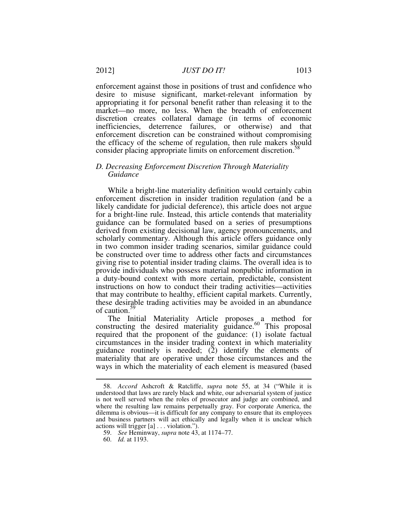enforcement against those in positions of trust and confidence who desire to misuse significant, market-relevant information by appropriating it for personal benefit rather than releasing it to the market—no more, no less. When the breadth of enforcement discretion creates collateral damage (in terms of economic inefficiencies, deterrence failures, or otherwise) and that enforcement discretion can be constrained without compromising the efficacy of the scheme of regulation, then rule makers should consider placing appropriate limits on enforcement discretion.<sup>58</sup>

#### *D. Decreasing Enforcement Discretion Through Materiality Guidance*

While a bright-line materiality definition would certainly cabin enforcement discretion in insider tradition regulation (and be a likely candidate for judicial deference), this article does not argue for a bright-line rule. Instead, this article contends that materiality guidance can be formulated based on a series of presumptions derived from existing decisional law, agency pronouncements, and scholarly commentary. Although this article offers guidance only in two common insider trading scenarios, similar guidance could be constructed over time to address other facts and circumstances giving rise to potential insider trading claims. The overall idea is to provide individuals who possess material nonpublic information in a duty-bound context with more certain, predictable, consistent instructions on how to conduct their trading activities—activities that may contribute to healthy, efficient capital markets. Currently, these desirable trading activities may be avoided in an abundance of caution.<sup>59</sup>

The Initial Materiality Article proposes a method for constructing the desired materiality guidance.<sup>60</sup> This proposal required that the proponent of the guidance: (1) isolate factual circumstances in the insider trading context in which materiality guidance routinely is needed; (2) identify the elements of materiality that are operative under those circumstances and the ways in which the materiality of each element is measured (based

 <sup>58.</sup> *Accord* Ashcroft & Ratcliffe, *supra* note 55, at 34 ("While it is understood that laws are rarely black and white, our adversarial system of justice is not well served when the roles of prosecutor and judge are combined, and where the resulting law remains perpetually gray. For corporate America, the dilemma is obvious—it is difficult for any company to ensure that its employees and business partners will act ethically and legally when it is unclear which actions will trigger [a] . . . violation.").

 <sup>59.</sup> *See* Heminway, *supra* note 43, at 1174–77.

 <sup>60.</sup> *Id.* at 1193.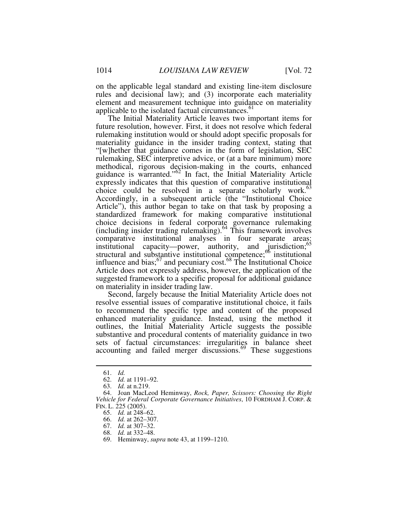on the applicable legal standard and existing line-item disclosure rules and decisional law); and (3) incorporate each materiality element and measurement technique into guidance on materiality applicable to the isolated factual circumstances.<sup>61</sup>

The Initial Materiality Article leaves two important items for future resolution, however. First, it does not resolve which federal rulemaking institution would or should adopt specific proposals for materiality guidance in the insider trading context, stating that "[w]hether that guidance comes in the form of legislation, SEC rulemaking, SEC interpretive advice, or (at a bare minimum) more methodical, rigorous decision-making in the courts, enhanced guidance is warranted."<sup>62</sup> In fact, the Initial Materiality Article expressly indicates that this question of comparative institutional choice could be resolved in a separate scholarly work. $63$ Accordingly, in a subsequent article (the "Institutional Choice Article"), this author began to take on that task by proposing a standardized framework for making comparative institutional choice decisions in federal corporate governance rulemaking (including insider trading rulemaking).<sup>64</sup> This framework involves comparative institutional analyses in four separate areas: institutional capacity—power, authority, and jurisdiction;<sup>65</sup> structural and substantive institutional competence;<sup>66</sup> institutional influence and bias;  $67$  and pecuniary cost. $68$  The Institutional Choice Article does not expressly address, however, the application of the suggested framework to a specific proposal for additional guidance on materiality in insider trading law.

Second, largely because the Initial Materiality Article does not resolve essential issues of comparative institutional choice, it fails to recommend the specific type and content of the proposed enhanced materiality guidance. Instead, using the method it outlines, the Initial Materiality Article suggests the possible substantive and procedural contents of materiality guidance in two sets of factual circumstances: irregularities in balance sheet accounting and failed merger discussions.<sup>69</sup> These suggestions

 <sup>61.</sup> *Id.*

 <sup>62.</sup> *Id.* at 1191–92.

 <sup>63.</sup> *Id.* at n.219.

 <sup>64.</sup> Joan MacLeod Heminway, *Rock, Paper, Scissors: Choosing the Right Vehicle for Federal Corporate Governance Initiatives*, 10 FORDHAM J. CORP. & FIN. L. 225 (2005).

 <sup>65.</sup> *Id.* at 248–62.

 <sup>66.</sup> *Id.* at 262–307.

 <sup>67.</sup> *Id.* at 307–32.

 <sup>68.</sup> *Id.* at 332–48.

 <sup>69.</sup> Heminway, *supra* note 43, at 1199–1210.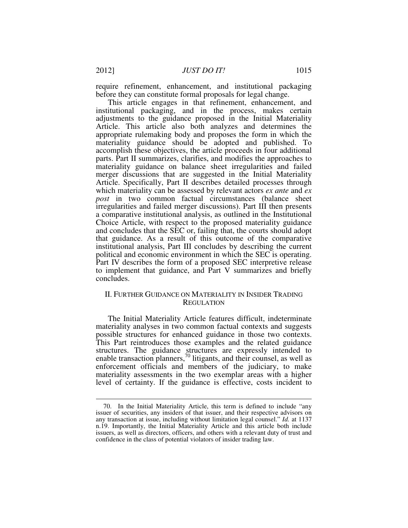require refinement, enhancement, and institutional packaging before they can constitute formal proposals for legal change.

This article engages in that refinement, enhancement, and institutional packaging, and in the process, makes certain adjustments to the guidance proposed in the Initial Materiality Article. This article also both analyzes and determines the appropriate rulemaking body and proposes the form in which the materiality guidance should be adopted and published. To accomplish these objectives, the article proceeds in four additional parts. Part II summarizes, clarifies, and modifies the approaches to materiality guidance on balance sheet irregularities and failed merger discussions that are suggested in the Initial Materiality Article. Specifically, Part II describes detailed processes through which materiality can be assessed by relevant actors *ex ante* and *ex post* in two common factual circumstances (balance sheet irregularities and failed merger discussions). Part III then presents a comparative institutional analysis, as outlined in the Institutional Choice Article, with respect to the proposed materiality guidance and concludes that the SEC or, failing that, the courts should adopt that guidance. As a result of this outcome of the comparative institutional analysis, Part III concludes by describing the current political and economic environment in which the SEC is operating. Part IV describes the form of a proposed SEC interpretive release to implement that guidance, and Part V summarizes and briefly concludes.

# II. FURTHER GUIDANCE ON MATERIALITY IN INSIDER TRADING **REGULATION**

The Initial Materiality Article features difficult, indeterminate materiality analyses in two common factual contexts and suggests possible structures for enhanced guidance in those two contexts. This Part reintroduces those examples and the related guidance structures. The guidance structures are expressly intended to enable transaction planners,<sup>70</sup> litigants, and their counsel, as well as enforcement officials and members of the judiciary, to make materiality assessments in the two exemplar areas with a higher level of certainty. If the guidance is effective, costs incident to

 <sup>70.</sup> In the Initial Materiality Article, this term is defined to include "any issuer of securities, any insiders of that issuer, and their respective advisors on any transaction at issue, including without limitation legal counsel." *Id.* at 1137 n.19. Importantly, the Initial Materiality Article and this article both include issuers, as well as directors, officers, and others with a relevant duty of trust and confidence in the class of potential violators of insider trading law.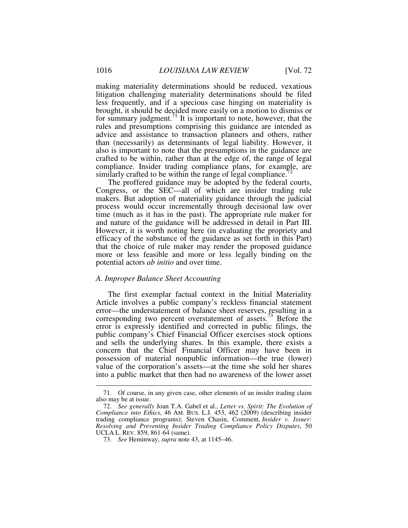making materiality determinations should be reduced, vexatious litigation challenging materiality determinations should be filed less frequently, and if a specious case hinging on materiality is brought, it should be decided more easily on a motion to dismiss or for summary judgment.<sup>71</sup> It is important to note, however, that the rules and presumptions comprising this guidance are intended as advice and assistance to transaction planners and others, rather than (necessarily) as determinants of legal liability. However, it also is important to note that the presumptions in the guidance are crafted to be within, rather than at the edge of, the range of legal compliance. Insider trading compliance plans, for example, are similarly crafted to be within the range of legal compliance.<sup>7</sup>

The proffered guidance may be adopted by the federal courts, Congress, or the SEC—all of which are insider trading rule makers. But adoption of materiality guidance through the judicial process would occur incrementally through decisional law over time (much as it has in the past). The appropriate rule maker for and nature of the guidance will be addressed in detail in Part III. However, it is worth noting here (in evaluating the propriety and efficacy of the substance of the guidance as set forth in this Part) that the choice of rule maker may render the proposed guidance more or less feasible and more or less legally binding on the potential actors *ab initio* and over time.

#### *A. Improper Balance Sheet Accounting*

The first exemplar factual context in the Initial Materiality Article involves a public company's reckless financial statement error—the understatement of balance sheet reserves, resulting in a corresponding two percent overstatement of assets.<sup>73</sup> Before the error is expressly identified and corrected in public filings, the public company's Chief Financial Officer exercises stock options and sells the underlying shares. In this example, there exists a concern that the Chief Financial Officer may have been in possession of material nonpublic information—the true (lower) value of the corporation's assets—at the time she sold her shares into a public market that then had no awareness of the lower asset

 <sup>71.</sup> Of course, in any given case, other elements of an insider trading claim also may be at issue.

 <sup>72.</sup> *See generally* Joan T.A. Gabel et al., *Letter vs. Spirit: The Evolution of Compliance into Ethics*, 46 AM. BUS. L.J. 453, 462 (2009) (describing insider trading compliance programs); Steven Chasin, Comment, *Insider v. Issuer: Resolving and Preventing Insider Trading Compliance Policy Disputes*, 50 UCLA L. REV. 859, 861-64 (same).

 <sup>73.</sup> *See* Heminway, *supra* note 43, at 1145–46.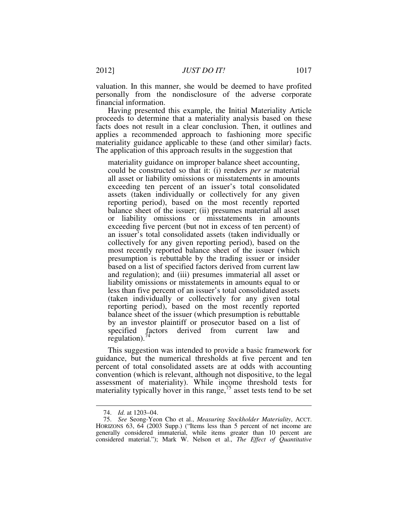valuation. In this manner, she would be deemed to have profited personally from the nondisclosure of the adverse corporate financial information.

Having presented this example, the Initial Materiality Article proceeds to determine that a materiality analysis based on these facts does not result in a clear conclusion. Then, it outlines and applies a recommended approach to fashioning more specific materiality guidance applicable to these (and other similar) facts. The application of this approach results in the suggestion that

materiality guidance on improper balance sheet accounting, could be constructed so that it: (i) renders *per se* material all asset or liability omissions or misstatements in amounts exceeding ten percent of an issuer's total consolidated assets (taken individually or collectively for any given reporting period), based on the most recently reported balance sheet of the issuer; (ii) presumes material all asset or liability omissions or misstatements in amounts exceeding five percent (but not in excess of ten percent) of an issuer's total consolidated assets (taken individually or collectively for any given reporting period), based on the most recently reported balance sheet of the issuer (which presumption is rebuttable by the trading issuer or insider based on a list of specified factors derived from current law and regulation); and (iii) presumes immaterial all asset or liability omissions or misstatements in amounts equal to or less than five percent of an issuer's total consolidated assets (taken individually or collectively for any given total reporting period), based on the most recently reported balance sheet of the issuer (which presumption is rebuttable by an investor plaintiff or prosecutor based on a list of specified factors derived from current law and regulation). $74$ 

This suggestion was intended to provide a basic framework for guidance, but the numerical thresholds at five percent and ten percent of total consolidated assets are at odds with accounting convention (which is relevant, although not dispositive, to the legal assessment of materiality). While income threshold tests for materiality typically hover in this range,  $\frac{75}{3}$  asset tests tend to be set

 <sup>74.</sup> *Id.* at 1203–04.

 <sup>75.</sup> *See* Seong-Yeon Cho et al., *Measuring Stockholder Materiality*, ACCT. HORIZONS 63, 64 (2003 Supp.) ("Items less than 5 percent of net income are generally considered immaterial, while items greater than 10 percent are considered material."); Mark W. Nelson et al., *The Effect of Quantitative*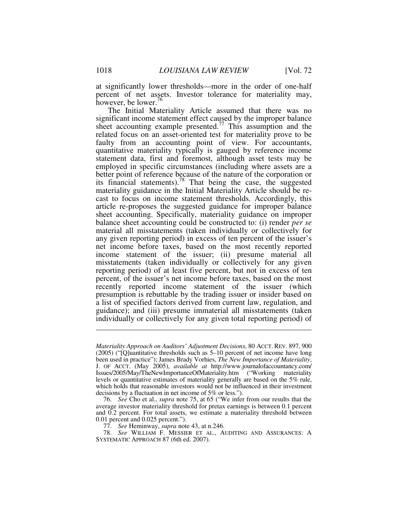at significantly lower thresholds—more in the order of one-half percent of net assets. Investor tolerance for materiality may, however, be lower.<sup>76</sup>

The Initial Materiality Article assumed that there was no significant income statement effect caused by the improper balance sheet accounting example presented.<sup>77</sup> This assumption and the related focus on an asset-oriented test for materiality prove to be faulty from an accounting point of view. For accountants, quantitative materiality typically is gauged by reference income statement data, first and foremost, although asset tests may be employed in specific circumstances (including where assets are a better point of reference because of the nature of the corporation or its financial statements).<sup>78</sup> That being the case, the suggested materiality guidance in the Initial Materiality Article should be recast to focus on income statement thresholds. Accordingly, this article re-proposes the suggested guidance for improper balance sheet accounting. Specifically, materiality guidance on improper balance sheet accounting could be constructed to: (i) render *per se*  material all misstatements (taken individually or collectively for any given reporting period) in excess of ten percent of the issuer's net income before taxes, based on the most recently reported income statement of the issuer; (ii) presume material all misstatements (taken individually or collectively for any given reporting period) of at least five percent, but not in excess of ten percent, of the issuer's net income before taxes, based on the most recently reported income statement of the issuer (which presumption is rebuttable by the trading issuer or insider based on a list of specified factors derived from current law, regulation, and guidance); and (iii) presume immaterial all misstatements (taken individually or collectively for any given total reporting period) of

77. *See* Heminway, *supra* note 43, at n.246.

*Materiality Approach on Auditors' Adjustment Decisions*, 80 ACCT. REV. 897, 900 (2005) ("[Q]uantitative thresholds such as 5–10 percent of net income have long been used in practice"); James Brady Vorhies, *The New Importance of Materiality*, J. OF ACCT. (May 2005), *available at* http://www.journalofaccountancy.com/ Issues/2005/May/TheNewImportanceOfMateriality.htm ("Working materiality levels or quantitative estimates of materiality generally are based on the 5% rule, which holds that reasonable investors would not be influenced in their investment decisions by a fluctuation in net income of 5% or less.").

 <sup>76.</sup> *See* Cho et al., *supra* note 75, at 65 ("We infer from our results that the average investor materiality threshold for pretax earnings is between 0.1 percent and 0.2 percent. For total assets, we estimate a materiality threshold between 0.01 percent and 0.025 percent.").

 <sup>78.</sup> *See* WILLIAM F. MESSIER ET AL., AUDITING AND ASSURANCES: A SYSTEMATIC APPROACH 87 (6th ed. 2007).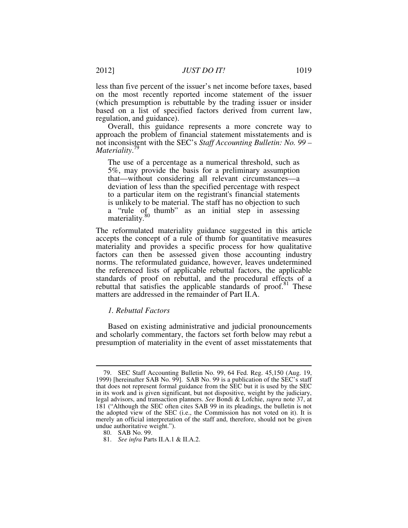less than five percent of the issuer's net income before taxes, based on the most recently reported income statement of the issuer (which presumption is rebuttable by the trading issuer or insider based on a list of specified factors derived from current law, regulation, and guidance).

Overall, this guidance represents a more concrete way to approach the problem of financial statement misstatements and is not inconsistent with the SEC's *Staff Accounting Bulletin: No. 99 – Materiality*. 79

The use of a percentage as a numerical threshold, such as 5%, may provide the basis for a preliminary assumption that—without considering all relevant circumstances—a deviation of less than the specified percentage with respect to a particular item on the registrant's financial statements is unlikely to be material. The staff has no objection to such a "rule of thumb" as an initial step in assessing materiality.<sup>80</sup>

The reformulated materiality guidance suggested in this article accepts the concept of a rule of thumb for quantitative measures materiality and provides a specific process for how qualitative factors can then be assessed given those accounting industry norms. The reformulated guidance, however, leaves undetermined the referenced lists of applicable rebuttal factors, the applicable standards of proof on rebuttal, and the procedural effects of a rebuttal that satisfies the applicable standards of proof.<sup>81</sup> These matters are addressed in the remainder of Part II.A.

#### *1. Rebuttal Factors*

Based on existing administrative and judicial pronouncements and scholarly commentary, the factors set forth below may rebut a presumption of materiality in the event of asset misstatements that

 $\overline{a}$  79. SEC Staff Accounting Bulletin No. 99, 64 Fed. Reg. 45,150 (Aug. 19, 1999) [hereinafter SAB No. 99]. SAB No. 99 is a publication of the SEC's staff that does not represent formal guidance from the SEC but it is used by the SEC in its work and is given significant, but not dispositive, weight by the judiciary, legal advisors, and transaction planners. *See* Bondi & Lofchie, *supra* note 37, at 181 ("Although the SEC often cites SAB 99 in its pleadings, the bulletin is not the adopted view of the SEC (i.e., the Commission has not voted on it). It is merely an official interpretation of the staff and, therefore, should not be given undue authoritative weight.").

 <sup>80.</sup> SAB No. 99.

 <sup>81.</sup> *See infra* Parts II.A.1 & II.A.2.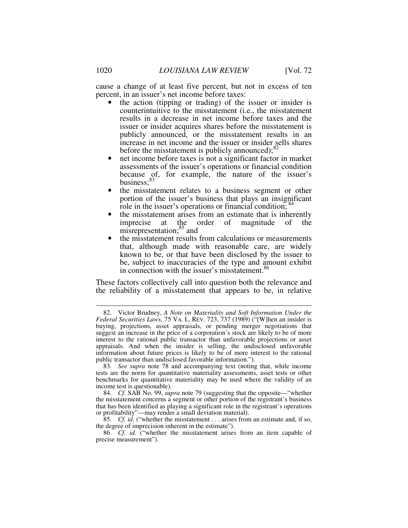cause a change of at least five percent, but not in excess of ten percent, in an issuer's net income before taxes:

- the action (tipping or trading) of the issuer or insider is counterintuitive to the misstatement (i.e., the misstatement results in a decrease in net income before taxes and the issuer or insider acquires shares before the misstatement is publicly announced, or the misstatement results in an increase in net income and the issuer or insider sells shares before the misstatement is publicly announced); $^{82}$
- net income before taxes is not a significant factor in market assessments of the issuer's operations or financial condition because of, for example, the nature of the issuer's business;<sup>83</sup>
- the misstatement relates to a business segment or other portion of the issuer's business that plays an insignificant role in the issuer's operations or financial condition;  $84$
- the misstatement arises from an estimate that is inherently imprecise at the order of magnitude of the misrepresentation;<sup>85</sup> and
- the misstatement results from calculations or measurements that, although made with reasonable care, are widely known to be, or that have been disclosed by the issuer to be, subject to inaccuracies of the type and amount exhibit in connection with the issuer's misstatement.<sup>86</sup>

These factors collectively call into question both the relevance and the reliability of a misstatement that appears to be, in relative

 <sup>82.</sup> Victor Brudney, *A Note on Materiality and Soft Information Under the Federal Securities Laws*, 75 VA. L. REV. 723, 737 (1989) ("[W]hen an insider is buying, projections, asset appraisals, or pending merger negotiations that suggest an increase in the price of a corporation's stock are likely to be of more interest to the rational public transactor than unfavorable projections or asset appraisals. And when the insider is selling, the undisclosed unfavorable information about future prices is likely to be of more interest to the rational public transactor than undisclosed favorable information.").

 <sup>83.</sup> *See supra* note 78 and accompanying text (noting that, while income tests are the norm for quantitative materiality assessments, asset tests or other benchmarks for quantitative materiality may be used where the validity of an income test is questionable).

<sup>84</sup>*. Cf.* SAB No. 99, *supra* note 79 (suggesting that the opposite—"whether the misstatement concerns a segment or other portion of the registrant's business that has been identified as playing a significant role in the registrant's operations or profitability"—may render a small deviation material).

 <sup>85.</sup> *Cf. id.* ("whether the misstatement . . . arises from an estimate and, if so, the degree of imprecision inherent in the estimate").

 <sup>86.</sup> *Cf. id.* ("whether the misstatement arises from an item capable of precise measurement").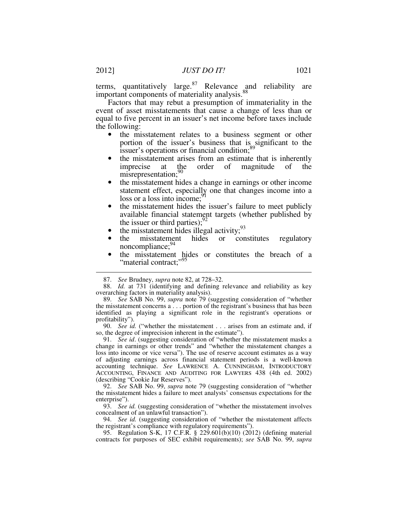terms, quantitatively large. $87$  Relevance and reliability are important components of materiality analysis.<sup>88</sup>

Factors that may rebut a presumption of immateriality in the event of asset misstatements that cause a change of less than or equal to five percent in an issuer's net income before taxes include the following:

- the misstatement relates to a business segment or other portion of the issuer's business that is significant to the issuer's operations or financial condition;<sup>89</sup>
- the misstatement arises from an estimate that is inherently imprecise at the order of magnitude of the misrepresentation;<sup>90</sup>
- the misstatement hides a change in earnings or other income statement effect, especially one that changes income into a loss or a loss into income;<sup>9</sup>
- the misstatement hides the issuer's failure to meet publicly available financial statement targets (whether published by the issuer or third parties); $^{92}$
- the misstatement hides illegal activity;  $93$
- the misstatement hides or constitutes regulatory noncompliance;<sup>94</sup>
- the misstatement hides or constitutes the breach of a "material contract;"<sup>95</sup>

 91. *See id*. (suggesting consideration of "whether the misstatement masks a change in earnings or other trends" and "whether the misstatement changes a loss into income or vice versa"). The use of reserve account estimates as a way of adjusting earnings across financial statement periods is a well-known accounting technique. *See* LAWRENCE A. CUNNINGHAM, INTRODUCTORY ACCOUNTING, FINANCE AND AUDITING FOR LAWYERS 438 (4th ed. 2002) (describing "Cookie Jar Reserves").

 92. *See* SAB No. 99, *supra* note 79 (suggesting consideration of "whether the misstatement hides a failure to meet analysts' consensus expectations for the enterprise").

 93. *See id.* (suggesting consideration of "whether the misstatement involves concealment of an unlawful transaction").

 94. *See id.* (suggesting consideration of "whether the misstatement affects the registrant's compliance with regulatory requirements").

 95. Regulation S-K, 17 C.F.R. § 229.601(b)(10) (2012) (defining material contracts for purposes of SEC exhibit requirements); *see* SAB No. 99, *supra* 

 <sup>87.</sup> *See* Brudney, *supra* note 82, at 728–32.

 <sup>88.</sup> *Id.* at 731 (identifying and defining relevance and reliability as key overarching factors in materiality analysis).

 <sup>89.</sup> *See* SAB No. 99, *supra* note 79 (suggesting consideration of "whether the misstatement concerns a . . . portion of the registrant's business that has been identified as playing a significant role in the registrant's operations or profitability").

 <sup>90.</sup> *See id.* ("whether the misstatement . . . arises from an estimate and, if so, the degree of imprecision inherent in the estimate").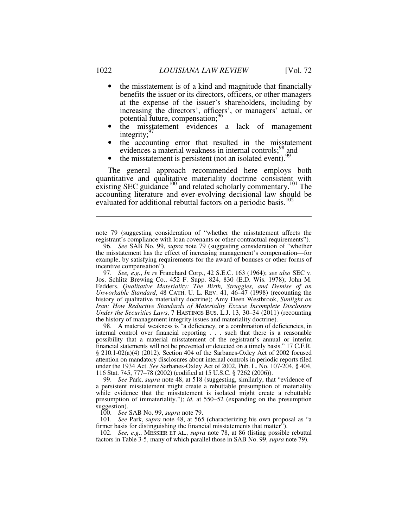- the misstatement is of a kind and magnitude that financially benefits the issuer or its directors, officers, or other managers at the expense of the issuer's shareholders, including by increasing the directors', officers', or managers' actual, or potential future, compensation;<sup>96</sup>
- the misstatement evidences a lack of management integrity;<sup>9</sup>
- the accounting error that resulted in the misstatement evidences a material weakness in internal controls;<sup>98</sup> and
- the misstatement is persistent (not an isolated event).<sup>99</sup>

The general approach recommended here employs both quantitative and qualitative materiality doctrine consistent with existing SEC guidance<sup>100</sup> and related scholarly commentary.<sup>101</sup> The accounting literature and ever-evolving decisional law should be evaluated for additional rebuttal factors on a periodic basis.<sup>102</sup>

note 79 (suggesting consideration of "whether the misstatement affects the registrant's compliance with loan covenants or other contractual requirements").

 97. *See, e.g.*, *In re* Franchard Corp., 42 S.E.C. 163 (1964); *see also* SEC v. Jos. Schlitz Brewing Co., 452 F. Supp. 824, 830 (E.D. Wis. 1978); John M. Fedders, *Qualitative Materiality: The Birth, Struggles, and Demise of an Unworkable Standard*, 48 CATH. U. L. REV. 41, 46–47 (1998) (recounting the history of qualitative materiality doctrine); Amy Deen Westbrook, *Sunlight on Iran: How Reductive Standards of Materiality Excuse Incomplete Disclosure Under the Securities Laws*, 7 HASTINGS BUS. L.J. 13, 30–34 (2011) (recounting the history of management integrity issues and materiality doctrine).

 98. A material weakness is "a deficiency, or a combination of deficiencies, in internal control over financial reporting . . . such that there is a reasonable possibility that a material misstatement of the registrant's annual or interim financial statements will not be prevented or detected on a timely basis." 17 C.F.R. § 210.1-02(a)(4) (2012). Section 404 of the Sarbanes-Oxley Act of 2002 focused attention on mandatory disclosures about internal controls in periodic reports filed under the 1934 Act. *See* Sarbanes-Oxley Act of 2002, Pub. L. No. 107-204, § 404, 116 Stat. 745, 777–78 (2002) (codified at 15 U.S.C. § 7262 (2006)).

 99. *See* Park, *supra* note 48, at 518 (suggesting, similarly, that "evidence of a persistent misstatement might create a rebuttable presumption of materiality while evidence that the misstatement is isolated might create a rebuttable presumption of immateriality."); *id.* at 550–52 (expanding on the presumption suggestion).

100. *See* SAB No. 99, *supra* note 79.

 101. *See* Park, *supra* note 48, at 565 (characterizing his own proposal as "a firmer basis for distinguishing the financial misstatements that matter").

 102. *See, e.g*., MESSIER ET AL., *supra* note 78, at 86 (listing possible rebuttal factors in Table 3-5, many of which parallel those in SAB No. 99, *supra* note 79).

 <sup>96.</sup> *See* SAB No. 99, *supra* note 79 (suggesting consideration of "whether the misstatement has the effect of increasing management's compensation—for example, by satisfying requirements for the award of bonuses or other forms of incentive compensation").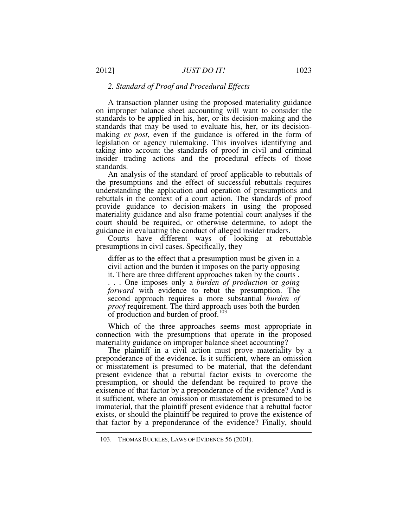#### *2. Standard of Proof and Procedural Effects*

A transaction planner using the proposed materiality guidance on improper balance sheet accounting will want to consider the standards to be applied in his, her, or its decision-making and the standards that may be used to evaluate his, her, or its decisionmaking *ex post*, even if the guidance is offered in the form of legislation or agency rulemaking. This involves identifying and taking into account the standards of proof in civil and criminal insider trading actions and the procedural effects of those standards.

An analysis of the standard of proof applicable to rebuttals of the presumptions and the effect of successful rebuttals requires understanding the application and operation of presumptions and rebuttals in the context of a court action. The standards of proof provide guidance to decision-makers in using the proposed materiality guidance and also frame potential court analyses if the court should be required, or otherwise determine, to adopt the guidance in evaluating the conduct of alleged insider traders.

Courts have different ways of looking at rebuttable presumptions in civil cases. Specifically, they

differ as to the effect that a presumption must be given in a civil action and the burden it imposes on the party opposing it. There are three different approaches taken by the courts . . . . One imposes only a *burden of production* or *going forward* with evidence to rebut the presumption. The second approach requires a more substantial *burden of proof* requirement. The third approach uses both the burden of production and burden of proof.<sup>103</sup>

Which of the three approaches seems most appropriate in connection with the presumptions that operate in the proposed materiality guidance on improper balance sheet accounting?

The plaintiff in a civil action must prove materiality by a preponderance of the evidence. Is it sufficient, where an omission or misstatement is presumed to be material, that the defendant present evidence that a rebuttal factor exists to overcome the presumption, or should the defendant be required to prove the existence of that factor by a preponderance of the evidence? And is it sufficient, where an omission or misstatement is presumed to be immaterial, that the plaintiff present evidence that a rebuttal factor exists, or should the plaintiff be required to prove the existence of that factor by a preponderance of the evidence? Finally, should

 <sup>103.</sup> THOMAS BUCKLES, LAWS OF EVIDENCE 56 (2001).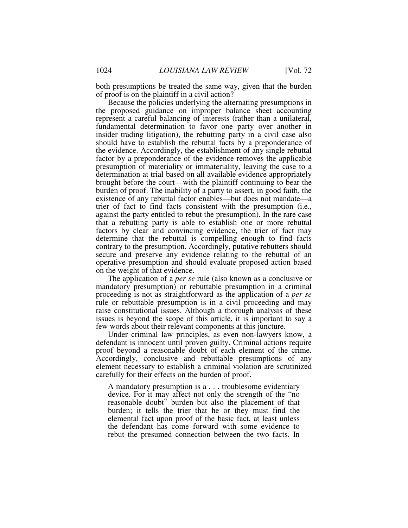both presumptions be treated the same way, given that the burden of proof is on the plaintiff in a civil action?

Because the policies underlying the alternating presumptions in the proposed guidance on improper balance sheet accounting represent a careful balancing of interests (rather than a unilateral, fundamental determination to favor one party over another in insider trading litigation), the rebutting party in a civil case also should have to establish the rebuttal facts by a preponderance of the evidence. Accordingly, the establishment of any single rebuttal factor by a preponderance of the evidence removes the applicable presumption of materiality or immateriality, leaving the case to a determination at trial based on all available evidence appropriately brought before the court—with the plaintiff continuing to bear the burden of proof. The inability of a party to assert, in good faith, the existence of any rebuttal factor enables—but does not mandate—a trier of fact to find facts consistent with the presumption (i.e., against the party entitled to rebut the presumption). In the rare case that a rebutting party is able to establish one or more rebuttal factors by clear and convincing evidence, the trier of fact may determine that the rebuttal is compelling enough to find facts contrary to the presumption. Accordingly, putative rebutters should secure and preserve any evidence relating to the rebuttal of an operative presumption and should evaluate proposed action based on the weight of that evidence.

The application of a *per se* rule (also known as a conclusive or mandatory presumption) or rebuttable presumption in a criminal proceeding is not as straightforward as the application of a *per se* rule or rebuttable presumption is in a civil proceeding and may raise constitutional issues. Although a thorough analysis of these issues is beyond the scope of this article, it is important to say a few words about their relevant components at this juncture.

Under criminal law principles, as even non-lawyers know, a defendant is innocent until proven guilty. Criminal actions require proof beyond a reasonable doubt of each element of the crime. Accordingly, conclusive and rebuttable presumptions of any element necessary to establish a criminal violation are scrutinized carefully for their effects on the burden of proof.

A mandatory presumption is a . . . troublesome evidentiary device. For it may affect not only the strength of the "no reasonable doubt" burden but also the placement of that burden; it tells the trier that he or they must find the elemental fact upon proof of the basic fact, at least unless the defendant has come forward with some evidence to rebut the presumed connection between the two facts. In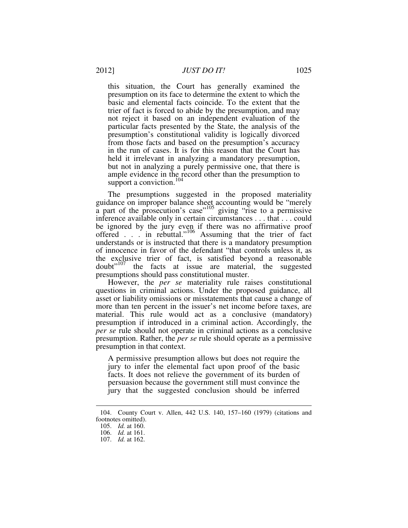this situation, the Court has generally examined the presumption on its face to determine the extent to which the basic and elemental facts coincide. To the extent that the trier of fact is forced to abide by the presumption, and may not reject it based on an independent evaluation of the particular facts presented by the State, the analysis of the presumption's constitutional validity is logically divorced from those facts and based on the presumption's accuracy in the run of cases. It is for this reason that the Court has held it irrelevant in analyzing a mandatory presumption, but not in analyzing a purely permissive one, that there is ample evidence in the record other than the presumption to support a conviction.<sup>104</sup>

The presumptions suggested in the proposed materiality guidance on improper balance sheet accounting would be "merely a part of the prosecution's case<sup>7105</sup> giving "rise to a permissive inference available only in certain circumstances . . . that . . . could be ignored by the jury even if there was no affirmative proof offered  $\ldots$  in rebuttal."<sup>106</sup> Assuming that the trier of fact understands or is instructed that there is a mandatory presumption of innocence in favor of the defendant "that controls unless it, as the exclusive trier of fact, is satisfied beyond a reasonable doubt"<sup>107</sup> the facts at issue are material, the suggested presumptions should pass constitutional muster.

However, the *per se* materiality rule raises constitutional questions in criminal actions. Under the proposed guidance, all asset or liability omissions or misstatements that cause a change of more than ten percent in the issuer's net income before taxes, are material. This rule would act as a conclusive (mandatory) presumption if introduced in a criminal action. Accordingly, the *per se* rule should not operate in criminal actions as a conclusive presumption. Rather, the *per se* rule should operate as a permissive presumption in that context.

A permissive presumption allows but does not require the jury to infer the elemental fact upon proof of the basic facts. It does not relieve the government of its burden of persuasion because the government still must convince the jury that the suggested conclusion should be inferred

 <sup>104.</sup> County Court v. Allen, 442 U.S. 140, 157–160 (1979) (citations and footnotes omitted).

 <sup>105.</sup> *Id.* at 160.

 <sup>106.</sup> *Id.* at 161.

 <sup>107.</sup> *Id.* at 162.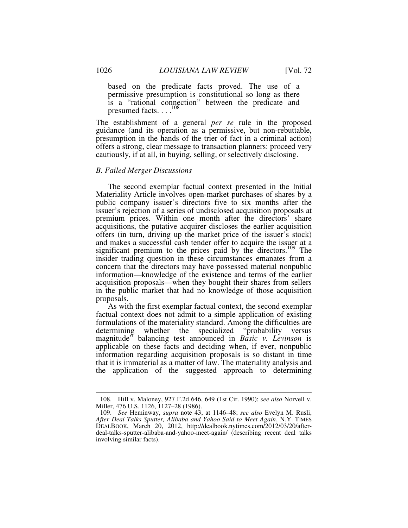based on the predicate facts proved. The use of a permissive presumption is constitutional so long as there is a "rational connection" between the predicate and presumed facts. . . .<sup>108</sup>

The establishment of a general *per se* rule in the proposed guidance (and its operation as a permissive, but non-rebuttable, presumption in the hands of the trier of fact in a criminal action) offers a strong, clear message to transaction planners: proceed very cautiously, if at all, in buying, selling, or selectively disclosing.

#### *B. Failed Merger Discussions*

The second exemplar factual context presented in the Initial Materiality Article involves open-market purchases of shares by a public company issuer's directors five to six months after the issuer's rejection of a series of undisclosed acquisition proposals at premium prices. Within one month after the directors' share acquisitions, the putative acquirer discloses the earlier acquisition offers (in turn, driving up the market price of the issuer's stock) and makes a successful cash tender offer to acquire the issuer at a significant premium to the prices paid by the directors.<sup>109</sup> The insider trading question in these circumstances emanates from a concern that the directors may have possessed material nonpublic information—knowledge of the existence and terms of the earlier acquisition proposals—when they bought their shares from sellers in the public market that had no knowledge of those acquisition proposals.

As with the first exemplar factual context, the second exemplar factual context does not admit to a simple application of existing formulations of the materiality standard. Among the difficulties are determining whether the specialized "probability versus magnitude" balancing test announced in *Basic v. Levinson* is applicable on these facts and deciding when, if ever, nonpublic information regarding acquisition proposals is so distant in time that it is immaterial as a matter of law. The materiality analysis and the application of the suggested approach to determining

 <sup>108.</sup> Hill v. Maloney, 927 F.2d 646, 649 (1st Cir. 1990); *see also* Norvell v. Miller, 476 U.S. 1126, 1127–28 (1986).

 <sup>109.</sup> *See* Heminway, *supra* note 43, at 1146–48; *see also* Evelyn M. Rusli, *After Deal Talks Sputter, Alibaba and Yahoo Said to Meet Again*, N.Y. TIMES DEALBOOK, March 20, 2012, http://dealbook.nytimes.com/2012/03/20/afterdeal-talks-sputter-alibaba-and-yahoo-meet-again/ (describing recent deal talks involving similar facts).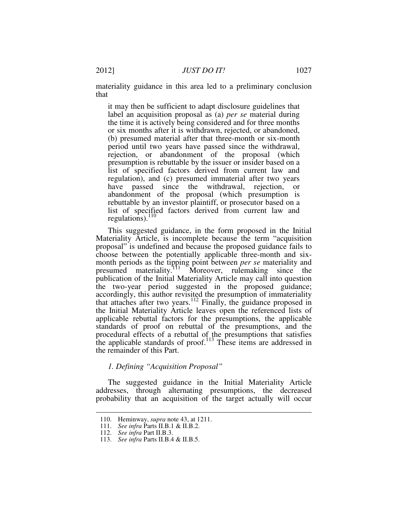materiality guidance in this area led to a preliminary conclusion that

it may then be sufficient to adapt disclosure guidelines that label an acquisition proposal as (a) *per se* material during the time it is actively being considered and for three months or six months after it is withdrawn, rejected, or abandoned, (b) presumed material after that three-month or six-month period until two years have passed since the withdrawal, rejection, or abandonment of the proposal (which presumption is rebuttable by the issuer or insider based on a list of specified factors derived from current law and regulation), and (c) presumed immaterial after two years have passed since the withdrawal, rejection, or abandonment of the proposal (which presumption is rebuttable by an investor plaintiff, or prosecutor based on a list of specified factors derived from current law and regulations).<sup>110</sup>

This suggested guidance, in the form proposed in the Initial Materiality Article, is incomplete because the term "acquisition proposal" is undefined and because the proposed guidance fails to choose between the potentially applicable three-month and sixmonth periods as the tipping point between *per se* materiality and presumed materiality.<sup>111</sup> Moreover, rulemaking since the publication of the Initial Materiality Article may call into question the two-year period suggested in the proposed guidance; accordingly, this author revisited the presumption of immateriality that attaches after two years.<sup>112</sup> Finally, the guidance proposed in the Initial Materiality Article leaves open the referenced lists of applicable rebuttal factors for the presumptions, the applicable standards of proof on rebuttal of the presumptions, and the procedural effects of a rebuttal of the presumptions that satisfies the applicable standards of proof.<sup>113</sup> These items are addressed in the remainder of this Part.

# *1. Defining "Acquisition Proposal"*

The suggested guidance in the Initial Materiality Article addresses, through alternating presumptions, the decreased probability that an acquisition of the target actually will occur

 <sup>110.</sup> Heminway, *supra* note 43, at 1211.

 <sup>111.</sup> *See infra* Parts II.B.1 & II.B.2.

 <sup>112.</sup> *See infra* Part II.B.3.

 <sup>113.</sup> *See infra* Parts II.B.4 & II.B.5.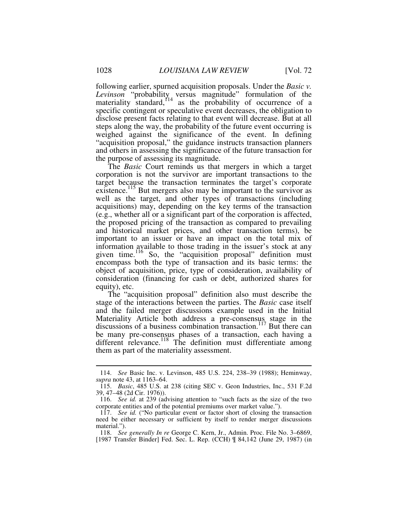following earlier, spurned acquisition proposals. Under the *Basic v.*  Levinson "probability, versus magnitude" formulation of the materiality standard,<sup>114</sup> as the probability of occurrence of a specific contingent or speculative event decreases, the obligation to disclose present facts relating to that event will decrease. But at all steps along the way, the probability of the future event occurring is weighed against the significance of the event. In defining "acquisition proposal," the guidance instructs transaction planners and others in assessing the significance of the future transaction for the purpose of assessing its magnitude.

The *Basic* Court reminds us that mergers in which a target corporation is not the survivor are important transactions to the target because the transaction terminates the target's corporate existence.<sup>115</sup> But mergers also may be important to the survivor as well as the target, and other types of transactions (including acquisitions) may, depending on the key terms of the transaction (e.g., whether all or a significant part of the corporation is affected, the proposed pricing of the transaction as compared to prevailing and historical market prices, and other transaction terms), be important to an issuer or have an impact on the total mix of information available to those trading in the issuer's stock at any given time.<sup>116</sup> So, the "acquisition proposal" definition must encompass both the type of transaction and its basic terms: the object of acquisition, price, type of consideration, availability of consideration (financing for cash or debt, authorized shares for equity), etc.

The "acquisition proposal" definition also must describe the stage of the interactions between the parties. The *Basic* case itself and the failed merger discussions example used in the Initial Materiality Article both address a pre-consensus stage in the discussions of a business combination transaction.<sup>117</sup> But there can be many pre-consensus phases of a transaction, each having a different relevance.<sup>118</sup> The definition must differentiate among them as part of the materiality assessment.

 <sup>114.</sup> *See* Basic Inc. v. Levinson, 485 U.S. 224, 238–39 (1988); Heminway, *supra* note 43, at 1163–64.

 <sup>115.</sup> *Basic*, 485 U.S. at 238 (citing SEC v. Geon Industries, Inc., 531 F.2d 39, 47–48 (2d Cir. 1976)).

 <sup>116.</sup> *See id.* at 239 (advising attention to "such facts as the size of the two corporate entities and of the potential premiums over market value.").

 <sup>117.</sup> *See id.* ("No particular event or factor short of closing the transaction need be either necessary or sufficient by itself to render merger discussions material.").

 <sup>118.</sup> *See generally In re* George C. Kern, Jr., Admin. Proc. File No. 3–6869, [1987 Transfer Binder] Fed. Sec. L. Rep. (CCH) ¶ 84,142 (June 29, 1987) (in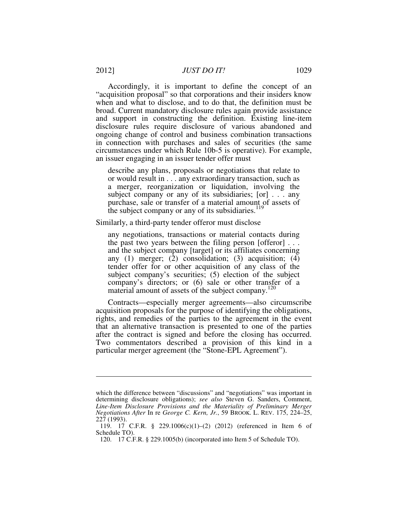Accordingly, it is important to define the concept of an "acquisition proposal" so that corporations and their insiders know when and what to disclose, and to do that, the definition must be broad. Current mandatory disclosure rules again provide assistance and support in constructing the definition. Existing line-item disclosure rules require disclosure of various abandoned and ongoing change of control and business combination transactions in connection with purchases and sales of securities (the same circumstances under which Rule 10b-5 is operative). For example, an issuer engaging in an issuer tender offer must

describe any plans, proposals or negotiations that relate to or would result in . . . any extraordinary transaction, such as a merger, reorganization or liquidation, involving the subject company or any of its subsidiaries; [or] . . . any purchase, sale or transfer of a material amount of assets of the subject company or any of its subsidiaries.<sup>119</sup>

Similarly, a third-party tender offeror must disclose

any negotiations, transactions or material contacts during the past two years between the filing person [offeror] . . . and the subject company [target] or its affiliates concerning any  $(1)$  merger;  $(2)$  consolidation;  $(3)$  acquisition;  $(4)$ tender offer for or other acquisition of any class of the subject company's securities; (5) election of the subject company's directors; or (6) sale or other transfer of a material amount of assets of the subject company.<sup>120</sup>

Contracts—especially merger agreements—also circumscribe acquisition proposals for the purpose of identifying the obligations, rights, and remedies of the parties to the agreement in the event that an alternative transaction is presented to one of the parties after the contract is signed and before the closing has occurred. Two commentators described a provision of this kind in a particular merger agreement (the "Stone-EPL Agreement").

which the difference between "discussions" and "negotiations" was important in determining disclosure obligations); *see also* Steven G. Sanders, Comment, *Line-Item Disclosure Provisions and the Materiality of Preliminary Merger Negotiations After* In re *George C. Kern, Jr.*, 59 BROOK. L. REV. 175, 224–25, 227 (1993).

 <sup>119. 17</sup> C.F.R. § 229.1006(c)(1)–(2) (2012) (referenced in Item 6 of Schedule TO).

 <sup>120. 17</sup> C.F.R. § 229.1005(b) (incorporated into Item 5 of Schedule TO).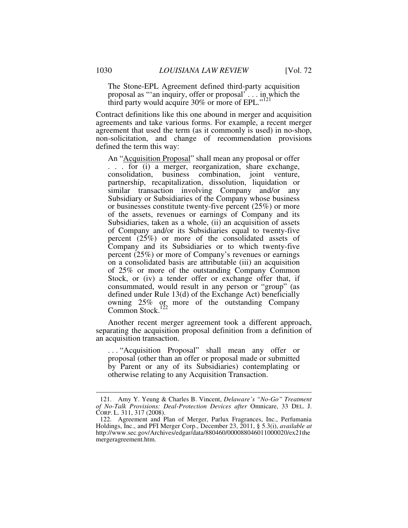The Stone-EPL Agreement defined third-party acquisition proposal as "'an inquiry, offer or proposal' . . . in which the third party would acquire 30% or more of EPL."<sup>121</sup>

Contract definitions like this one abound in merger and acquisition agreements and take various forms. For example, a recent merger agreement that used the term (as it commonly is used) in no-shop, non-solicitation, and change of recommendation provisions defined the term this way:

An "Acquisition Proposal" shall mean any proposal or offer . . . for (i) a merger, reorganization, share exchange, consolidation, business combination, joint venture, partnership, recapitalization, dissolution, liquidation or similar transaction involving Company and/or any Subsidiary or Subsidiaries of the Company whose business or businesses constitute twenty-five percent (25%) or more of the assets, revenues or earnings of Company and its Subsidiaries, taken as a whole, (ii) an acquisition of assets of Company and/or its Subsidiaries equal to twenty-five percent (25%) or more of the consolidated assets of Company and its Subsidiaries or to which twenty-five percent (25%) or more of Company's revenues or earnings on a consolidated basis are attributable (iii) an acquisition of 25% or more of the outstanding Company Common Stock, or (iv) a tender offer or exchange offer that, if consummated, would result in any person or "group" (as defined under Rule 13(d) of the Exchange Act) beneficially owning 25% or more of the outstanding Company Common Stock.<sup>122</sup>

Another recent merger agreement took a different approach, separating the acquisition proposal definition from a definition of an acquisition transaction.

. . . "Acquisition Proposal" shall mean any offer or proposal (other than an offer or proposal made or submitted by Parent or any of its Subsidiaries) contemplating or otherwise relating to any Acquisition Transaction.

 <sup>121.</sup> Amy Y. Yeung & Charles B. Vincent, *Delaware's "No-Go" Treatment of No-Talk Provisions: Deal-Protection Devices after* Omnicare, 33 DEL. J. CORP. L. 311, 317 (2008).

 <sup>122.</sup> Agreement and Plan of Merger, Parlux Fragrances, Inc., Perfumania Holdings, Inc., and PFI Merger Corp., December 23, 2011, § 5.3(i), *available at* http://www.sec.gov/Archives/edgar/data/880460/000088046011000020/ex21the mergeragreement.htm.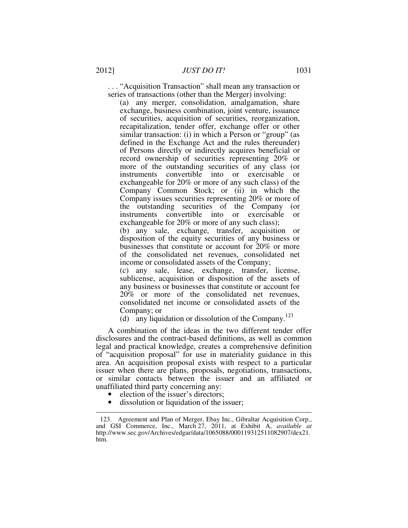. . . "Acquisition Transaction" shall mean any transaction or series of transactions (other than the Merger) involving:

(a) any merger, consolidation, amalgamation, share exchange, business combination, joint venture, issuance of securities, acquisition of securities, reorganization, recapitalization, tender offer, exchange offer or other similar transaction: (i) in which a Person or "group" (as defined in the Exchange Act and the rules thereunder) of Persons directly or indirectly acquires beneficial or record ownership of securities representing 20% or more of the outstanding securities of any class (or instruments convertible into or exercisable or exchangeable for 20% or more of any such class) of the Company Common Stock; or (ii) in which the Company issues securities representing 20% or more of the outstanding securities of the Company (or instruments convertible into or exercisable or exchangeable for 20% or more of any such class);

(b) any sale, exchange, transfer, acquisition or disposition of the equity securities of any business or businesses that constitute or account for 20% or more of the consolidated net revenues, consolidated net income or consolidated assets of the Company;

(c) any sale, lease, exchange, transfer, license, sublicense, acquisition or disposition of the assets of any business or businesses that constitute or account for 20% or more of the consolidated net revenues, consolidated net income or consolidated assets of the Company; or

(d) any liquidation or dissolution of the Company.<sup>123</sup>

A combination of the ideas in the two different tender offer disclosures and the contract-based definitions, as well as common legal and practical knowledge, creates a comprehensive definition of "acquisition proposal" for use in materiality guidance in this area. An acquisition proposal exists with respect to a particular issuer when there are plans, proposals, negotiations, transactions, or similar contacts between the issuer and an affiliated or unaffiliated third party concerning any:

• election of the issuer's directors;

 $\overline{a}$ 

• dissolution or liquidation of the issuer;

 <sup>123.</sup> Agreement and Plan of Merger, Ebay Inc., Gibraltar Acquisition Corp., and GSI Commerce, Inc., March 27, 2011, at Exhibit A, *available at*  http://www.sec.gov/Archives/edgar/data/1065088/000119312511082907/dex21. htm.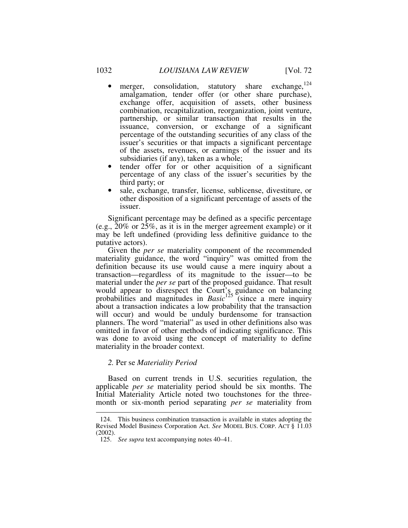- merger, consolidation, statutory share exchange,  $^{124}$ amalgamation, tender offer (or other share purchase), exchange offer, acquisition of assets, other business combination, recapitalization, reorganization, joint venture, partnership, or similar transaction that results in the issuance, conversion, or exchange of a significant percentage of the outstanding securities of any class of the issuer's securities or that impacts a significant percentage of the assets, revenues, or earnings of the issuer and its subsidiaries (if any), taken as a whole;
- tender offer for or other acquisition of a significant percentage of any class of the issuer's securities by the third party; or
- sale, exchange, transfer, license, sublicense, divestiture, or other disposition of a significant percentage of assets of the issuer.

Significant percentage may be defined as a specific percentage (e.g., 20% or 25%, as it is in the merger agreement example) or it may be left undefined (providing less definitive guidance to the putative actors).

Given the *per se* materiality component of the recommended materiality guidance, the word "inquiry" was omitted from the definition because its use would cause a mere inquiry about a transaction—regardless of its magnitude to the issuer—to be material under the *per se* part of the proposed guidance. That result would appear to disrespect the Court's guidance on balancing probabilities and magnitudes in *Basic*<sup>125</sup> (since a mere inquiry about a transaction indicates a low probability that the transaction will occur) and would be unduly burdensome for transaction planners. The word "material" as used in other definitions also was omitted in favor of other methods of indicating significance. This was done to avoid using the concept of materiality to define materiality in the broader context.

#### *2.* Per se *Materiality Period*

 $\overline{a}$ 

Based on current trends in U.S. securities regulation, the applicable *per se* materiality period should be six months. The Initial Materiality Article noted two touchstones for the threemonth or six-month period separating *per se* materiality from

 <sup>124.</sup> This business combination transaction is available in states adopting the Revised Model Business Corporation Act. *See* MODEL BUS. CORP. ACT § 11.03 (2002).

 <sup>125.</sup> *See supra* text accompanying notes 40–41.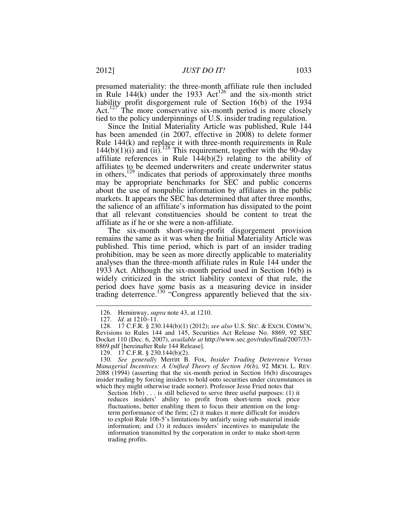presumed materiality: the three-month affiliate rule then included in Rule 144(k) under the 1933 Act<sup>126</sup> and the six-month strict liability profit disgorgement rule of Section 16(b) of the 1934 Act.<sup>127</sup> The more conservative six-month period is more closely tied to the policy underpinnings of U.S. insider trading regulation.

Since the Initial Materiality Article was published, Rule 144 has been amended (in 2007, effective in 2008) to delete former Rule 144(k) and replace it with three-month requirements in Rule  $144(b)(1)(i)$  and  $(ii).<sup>128</sup>$  This requirement, together with the 90-day affiliate references in Rule 144(b)(2) relating to the ability of affiliates to be deemed underwriters and create underwriter status in others,<sup>129</sup> indicates that periods of approximately three months may be appropriate benchmarks for SEC and public concerns about the use of nonpublic information by affiliates in the public markets. It appears the SEC has determined that after three months, the salience of an affiliate's information has dissipated to the point that all relevant constituencies should be content to treat the affiliate as if he or she were a non-affiliate.

The six-month short-swing-profit disgorgement provision remains the same as it was when the Initial Materiality Article was published. This time period, which is part of an insider trading prohibition, may be seen as more directly applicable to materiality analyses than the three-month affiliate rules in Rule 144 under the 1933 Act. Although the six-month period used in Section 16(b) is widely criticized in the strict liability context of that rule, the period does have some basis as a measuring device in insider trading deterrence.<sup>130</sup> "Congress apparently believed that the six-

-

Section  $16(b)$ ... is still believed to serve three useful purposes: (1) it reduces insiders' ability to profit from short-term stock price fluctuations, better enabling them to focus their attention on the longterm performance of the firm; (2) it makes it more difficult for insiders to exploit Rule 10b-5's limitations by unfairly using sub-material inside information; and (3) it reduces insiders' incentives to manipulate the information transmitted by the corporation in order to make short-term trading profits.

 <sup>126.</sup> Heminway, *supra* note 43, at 1210.

 <sup>127.</sup> *Id*. at 1210–11.

 <sup>128. 17</sup> C.F.R. § 230.144(b)(1) (2012); *see also* U.S. SEC. & EXCH. COMM'N, Revisions to Rules 144 and 145, Securities Act Release No. 8869, 92 SEC Docket 110 (Dec. 6, 2007), *available at* http://www.sec.gov/rules/final/2007/33- 8869.pdf [hereinafter Rule 144 Release].

 <sup>129. 17</sup> C.F.R. § 230.144(b)(2).

 <sup>130.</sup> *See generally* Merritt B. Fox, *Insider Trading Deterrence Versus Managerial Incentives: A Unified Theory of Section 16(b)*, 92 MICH. L. REV. 2088 (1994) (asserting that the six-month period in Section 16(b) discourages insider trading by forcing insiders to hold onto securities under circumstances in which they might otherwise trade sooner). Professor Jesse Fried notes that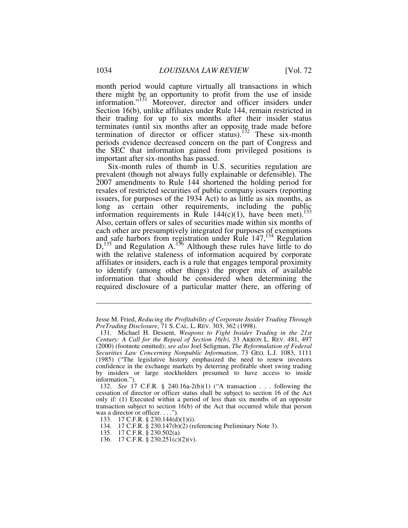month period would capture virtually all transactions in which there might be an opportunity to profit from the use of inside information."<sup>131</sup> Moreover, director and officer insiders under Section 16(b), unlike affiliates under Rule 144, remain restricted in their trading for up to six months after their insider status terminates (until six months after an opposite trade made before termination of director or officer status).<sup>132</sup> These six-month periods evidence decreased concern on the part of Congress and the SEC that information gained from privileged positions is important after six-months has passed.

Six-month rules of thumb in U.S. securities regulation are prevalent (though not always fully explainable or defensible). The 2007 amendments to Rule 144 shortened the holding period for resales of restricted securities of public company issuers (reporting issuers, for purposes of the 1934 Act) to as little as six months, as long as certain other requirements, including the public information requirements in Rule  $144(c)(1)$ , have been met).<sup>133</sup> Also, certain offers or sales of securities made within six months of each other are presumptively integrated for purposes of exemptions and safe harbors from registration under Rule  $147<sup>134</sup>$  Regulation  $D<sub>135</sub>$  and Regulation A.<sup>136</sup> Although these rules have little to do with the relative staleness of information acquired by corporate affiliates or insiders, each is a rule that engages temporal proximity to identify (among other things) the proper mix of available information that should be considered when determining the required disclosure of a particular matter (here, an offering of

136. 17 C.F.R. § 230.251(c)(2)(v).

<u>.</u>

Jesse M. Fried, *Reducing the Profitability of Corporate Insider Trading Through PreTrading Disclosure*, 71 S. CAL. L. REV. 303, 362 (1998).

 <sup>131.</sup> Michael H. Dessent, *Weapons to Fight Insider Trading in the 21st Century: A Call for the Repeal of Section 16(b)*, 33 AKRON L. REV. 481, 497 (2000) (footnote omitted); *see also* Joel Seligman, *The Reformulation of Federal Securities Law Concerning Nonpublic Information*, 73 GEO. L.J. 1083, 1111 (1985) ("The legislative history emphasized the need to renew investors confidence in the exchange markets by deterring profitable short swing trading by insiders or large stockholders presumed to have access to inside information.").

 <sup>132.</sup> *See* 17 C.F.R. § 240.16a-2(b)(1) ("A transaction . . . following the cessation of director or officer status shall be subject to section 16 of the Act only if: (1) Executed within a period of less than six months of an opposite transaction subject to section 16(b) of the Act that occurred while that person was a director or officer. . . .").

 <sup>133. 17</sup> C.F.R. § 230.144(d)(1)(i).

 <sup>134. 17</sup> C.F.R. § 230.147(b)(2) (referencing Preliminary Note 3).

 <sup>135. 17</sup> C.F.R. § 230.502(a).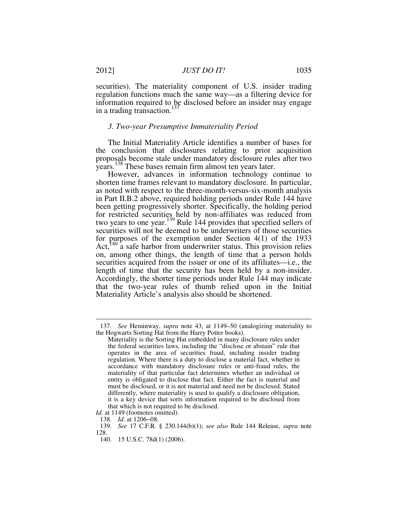securities). The materiality component of U.S. insider trading regulation functions much the same way—as a filtering device for information required to be disclosed before an insider may engage in a trading transaction.<sup>137</sup>

# *3. Two-year Presumptive Immateriality Period*

The Initial Materiality Article identifies a number of bases for the conclusion that disclosures relating to prior acquisition proposals become stale under mandatory disclosure rules after two years.<sup>138</sup> These bases remain firm almost ten years later.

However, advances in information technology continue to shorten time frames relevant to mandatory disclosure. In particular, as noted with respect to the three-month-versus-six-month analysis in Part II.B.2 above, required holding periods under Rule 144 have been getting progressively shorter. Specifically, the holding period for restricted securities held by non-affiliates was reduced from two years to one year.<sup>139</sup> Rule 144 provides that specified sellers of securities will not be deemed to be underwriters of those securities for purposes of the exemption under Section 4(1) of the 1933 Act,<sup>140</sup> a safe harbor from underwriter status. This provision relies on, among other things, the length of time that a person holds securities acquired from the issuer or one of its affiliates—i.e., the length of time that the security has been held by a non-insider. Accordingly, the shorter time periods under Rule 144 may indicate that the two-year rules of thumb relied upon in the Initial Materiality Article's analysis also should be shortened.

 <sup>137.</sup> *See* Heminway, *supra* note 43, at 1149–50 (analogizing materiality to the Hogwarts Sorting Hat from the Harry Potter books).

Materiality is the Sorting Hat embedded in many disclosure rules under the federal securities laws, including the "disclose or abstain" rule that operates in the area of securities fraud, including insider trading regulation. Where there is a duty to disclose a material fact, whether in accordance with mandatory disclosure rules or anti-fraud rules, the materiality of that particular fact determines whether an individual or entity is obligated to disclose that fact. Either the fact is material and must be disclosed, or it is not material and need not be disclosed. Stated differently, where materiality is used to qualify a disclosure obligation, it is a key device that sorts information required to be disclosed from that which is not required to be disclosed.

*Id.* at 1149 (footnotes omitted).

 <sup>138.</sup> *Id.* at 1206−08.

 <sup>139.</sup> *See* 17 C.F.R. § 230.144(b)(1); *see also* Rule 144 Release, *supra* note 128.

 <sup>140. 15</sup> U.S.C. 78d(1) (2006).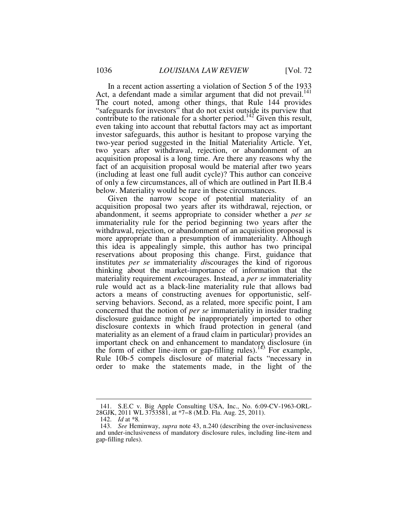In a recent action asserting a violation of Section 5 of the 1933 Act, a defendant made a similar argument that did not prevail.<sup>141</sup> The court noted, among other things, that Rule 144 provides "safeguards for investors" that do not exist outside its purview that contribute to the rationale for a shorter period.<sup>142</sup> Given this result, even taking into account that rebuttal factors may act as important investor safeguards, this author is hesitant to propose varying the two-year period suggested in the Initial Materiality Article. Yet, two years after withdrawal, rejection, or abandonment of an acquisition proposal is a long time. Are there any reasons why the fact of an acquisition proposal would be material after two years (including at least one full audit cycle)? This author can conceive of only a few circumstances, all of which are outlined in Part II.B.4 below. Materiality would be rare in these circumstances.

Given the narrow scope of potential materiality of an acquisition proposal two years after its withdrawal, rejection, or abandonment, it seems appropriate to consider whether a *per se* immateriality rule for the period beginning two years after the withdrawal, rejection, or abandonment of an acquisition proposal is more appropriate than a presumption of immateriality. Although this idea is appealingly simple, this author has two principal reservations about proposing this change. First, guidance that institutes *per se* immateriality *di*scourages the kind of rigorous thinking about the market-importance of information that the materiality requirement *en*courages. Instead, a *per se* immateriality rule would act as a black-line materiality rule that allows bad actors a means of constructing avenues for opportunistic, selfserving behaviors. Second, as a related, more specific point, I am concerned that the notion of *per se* immateriality in insider trading disclosure guidance might be inappropriately imported to other disclosure contexts in which fraud protection in general (and materiality as an element of a fraud claim in particular) provides an important check on and enhancement to mandatory disclosure (in the form of either line-item or gap-filling rules).<sup>143</sup> For example, Rule 10b-5 compels disclosure of material facts "necessary in order to make the statements made, in the light of the

 <sup>141.</sup> S.E.C v. Big Apple Consulting USA, Inc., No. 6:09-CV-1963-ORL-28GJK, 2011 WL 3753581, at \*7−8 (M.D. Fla. Aug. 25, 2011).

 <sup>142.</sup> *Id* at \*8*.*

 <sup>143.</sup> *See* Heminway, *supra* note 43, n.240 (describing the over-inclusiveness and under-inclusiveness of mandatory disclosure rules, including line-item and gap-filling rules).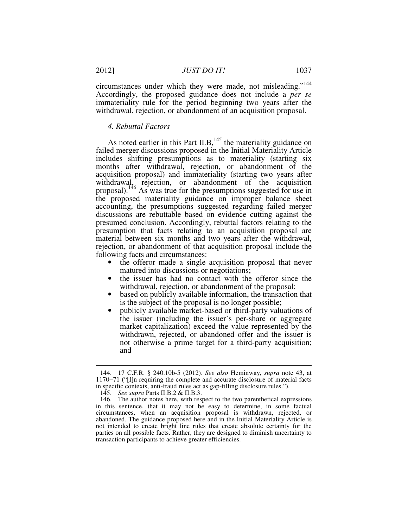circumstances under which they were made, not misleading."<sup>144</sup> Accordingly, the proposed guidance does not include a *per se* immateriality rule for the period beginning two years after the withdrawal, rejection, or abandonment of an acquisition proposal.

#### *4. Rebuttal Factors*

As noted earlier in this Part II.B,  $^{145}$  the materiality guidance on failed merger discussions proposed in the Initial Materiality Article includes shifting presumptions as to materiality (starting six months after withdrawal, rejection, or abandonment of the acquisition proposal) and immateriality (starting two years after withdrawal, rejection, or abandonment of the acquisition proposal).<sup>146</sup> As was true for the presumptions suggested for use in the proposed materiality guidance on improper balance sheet accounting, the presumptions suggested regarding failed merger discussions are rebuttable based on evidence cutting against the presumed conclusion. Accordingly, rebuttal factors relating to the presumption that facts relating to an acquisition proposal are material between six months and two years after the withdrawal, rejection, or abandonment of that acquisition proposal include the following facts and circumstances:

- the offeror made a single acquisition proposal that never matured into discussions or negotiations;
- the issuer has had no contact with the offeror since the withdrawal, rejection, or abandonment of the proposal;
- based on publicly available information, the transaction that is the subject of the proposal is no longer possible;
- publicly available market-based or third-party valuations of the issuer (including the issuer's per-share or aggregate market capitalization) exceed the value represented by the withdrawn, rejected, or abandoned offer and the issuer is not otherwise a prime target for a third-party acquisition; and

 <sup>144. 17</sup> C.F.R. § 240.10b-5 (2012). *See also* Heminway, *supra* note 43, at 1170−71 ("[I]n requiring the complete and accurate disclosure of material facts in specific contexts, anti-fraud rules act as gap-filling disclosure rules.").

 <sup>145.</sup> *See supra* Parts II.B.2 & II.B.3.

 <sup>146.</sup> The author notes here, with respect to the two parenthetical expressions in this sentence, that it may not be easy to determine, in some factual circumstances, when an acquisition proposal is withdrawn, rejected, or abandoned. The guidance proposed here and in the Initial Materiality Article is not intended to create bright line rules that create absolute certainty for the parties on all possible facts. Rather, they are designed to diminish uncertainty to transaction participants to achieve greater efficiencies.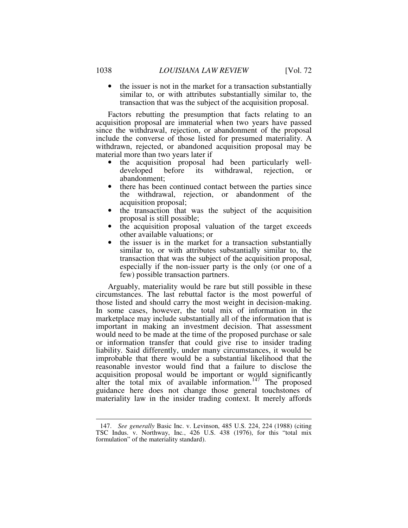the issuer is not in the market for a transaction substantially similar to, or with attributes substantially similar to, the transaction that was the subject of the acquisition proposal.

Factors rebutting the presumption that facts relating to an acquisition proposal are immaterial when two years have passed since the withdrawal, rejection, or abandonment of the proposal include the converse of those listed for presumed materiality. A withdrawn, rejected, or abandoned acquisition proposal may be material more than two years later if

- the acquisition proposal had been particularly welldeveloped before its withdrawal, rejection, or abandonment;
- there has been continued contact between the parties since the withdrawal, rejection, or abandonment of the acquisition proposal;
- the transaction that was the subject of the acquisition proposal is still possible;
- the acquisition proposal valuation of the target exceeds other available valuations; or
- the issuer is in the market for a transaction substantially similar to, or with attributes substantially similar to, the transaction that was the subject of the acquisition proposal, especially if the non-issuer party is the only (or one of a few) possible transaction partners.

Arguably, materiality would be rare but still possible in these circumstances. The last rebuttal factor is the most powerful of those listed and should carry the most weight in decision-making. In some cases, however, the total mix of information in the marketplace may include substantially all of the information that is important in making an investment decision. That assessment would need to be made at the time of the proposed purchase or sale or information transfer that could give rise to insider trading liability. Said differently, under many circumstances, it would be improbable that there would be a substantial likelihood that the reasonable investor would find that a failure to disclose the acquisition proposal would be important or would significantly alter the total mix of available information.<sup>147</sup> The proposed guidance here does not change those general touchstones of materiality law in the insider trading context. It merely affords

 <sup>147.</sup> *See generally* Basic Inc. v. Levinson, 485 U.S. 224, 224 (1988) (citing TSC Indus. v. Northway, Inc*.*, 426 U.S. 438 (1976), for this "total mix formulation" of the materiality standard).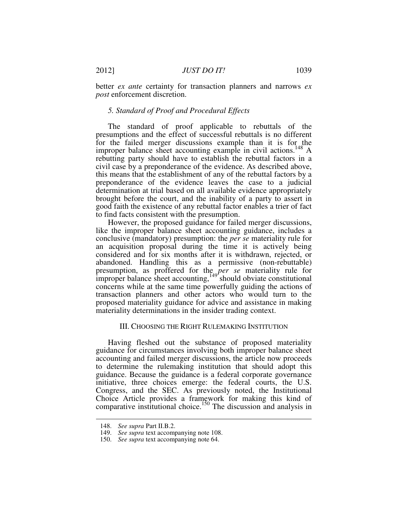better *ex ante* certainty for transaction planners and narrows *ex post* enforcement discretion.

# *5. Standard of Proof and Procedural Effects*

The standard of proof applicable to rebuttals of the presumptions and the effect of successful rebuttals is no different for the failed merger discussions example than it is for the improper balance sheet accounting example in civil actions.<sup>148</sup> A rebutting party should have to establish the rebuttal factors in a civil case by a preponderance of the evidence. As described above, this means that the establishment of any of the rebuttal factors by a preponderance of the evidence leaves the case to a judicial determination at trial based on all available evidence appropriately brought before the court, and the inability of a party to assert in good faith the existence of any rebuttal factor enables a trier of fact to find facts consistent with the presumption.

However, the proposed guidance for failed merger discussions, like the improper balance sheet accounting guidance, includes a conclusive (mandatory) presumption: the *per se* materiality rule for an acquisition proposal during the time it is actively being considered and for six months after it is withdrawn, rejected, or abandoned. Handling this as a permissive (non-rebuttable) presumption, as proffered for the *per se* materiality rule for improper balance sheet accounting,  $149'$  should obviate constitutional concerns while at the same time powerfully guiding the actions of transaction planners and other actors who would turn to the proposed materiality guidance for advice and assistance in making materiality determinations in the insider trading context.

# III. CHOOSING THE RIGHT RULEMAKING INSTITUTION

Having fleshed out the substance of proposed materiality guidance for circumstances involving both improper balance sheet accounting and failed merger discussions, the article now proceeds to determine the rulemaking institution that should adopt this guidance. Because the guidance is a federal corporate governance initiative, three choices emerge: the federal courts, the U.S. Congress, and the SEC. As previously noted, the Institutional Choice Article provides a framework for making this kind of comparative institutional choice.<sup>150</sup> The discussion and analysis in

 <sup>148.</sup> *See supra* Part II.B.2.

 <sup>149.</sup> *See supra* text accompanying note 108.

 <sup>150.</sup> *See supra* text accompanying note 64.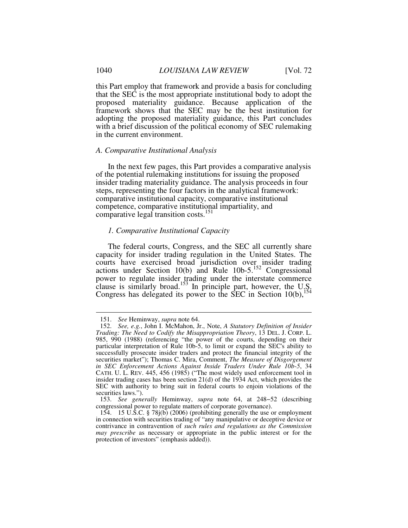this Part employ that framework and provide a basis for concluding that the SEC is the most appropriate institutional body to adopt the proposed materiality guidance. Because application of the framework shows that the SEC may be the best institution for adopting the proposed materiality guidance, this Part concludes with a brief discussion of the political economy of SEC rulemaking in the current environment.

#### *A. Comparative Institutional Analysis*

In the next few pages, this Part provides a comparative analysis of the potential rulemaking institutions for issuing the proposed insider trading materiality guidance. The analysis proceeds in four steps, representing the four factors in the analytical framework: comparative institutional capacity, comparative institutional competence, comparative institutional impartiality, and comparative legal transition costs.<sup>151</sup>

#### *1. Comparative Institutional Capacity*

The federal courts, Congress, and the SEC all currently share capacity for insider trading regulation in the United States. The courts have exercised broad jurisdiction over insider trading actions under Section 10(b) and Rule  $10b-5$ .<sup>152</sup> Congressional power to regulate insider trading under the interstate commerce clause is similarly broad.<sup>153</sup> In principle part, however, the U.S. Congress has delegated its power to the SEC in Section  $10(b)$ ,<sup>154</sup>

 <sup>151.</sup> *See* Heminway, *supra* note 64.

 <sup>152.</sup> *See, e.g.*, John I. McMahon, Jr., Note, *A Statutory Definition of Insider Trading: The Need to Codify the Misappropriation Theory*, 13 DEL. J. CORP. L. 985, 990 (1988) (referencing "the power of the courts, depending on their particular interpretation of Rule 10b-5, to limit or expand the SEC's ability to successfully prosecute insider traders and protect the financial integrity of the securities market"); Thomas C. Mira, Comment, *The Measure of Disgorgement in SEC Enforcement Actions Against Inside Traders Under Rule 10b-5*, 34 CATH. U. L. REV. 445, 456 (1985) ("The most widely used enforcement tool in insider trading cases has been section 21(d) of the 1934 Act, which provides the SEC with authority to bring suit in federal courts to enjoin violations of the securities laws.").

 <sup>153.</sup> *See generally* Heminway, *supra* note 64, at 248−52 (describing congressional power to regulate matters of corporate governance).

 <sup>154. 15</sup> U.S.C. § 78j(b) (2006) (prohibiting generally the use or employment in connection with securities trading of "any manipulative or deceptive device or contrivance in contravention of *such rules and regulations as the Commission may prescribe* as necessary or appropriate in the public interest or for the protection of investors" (emphasis added)).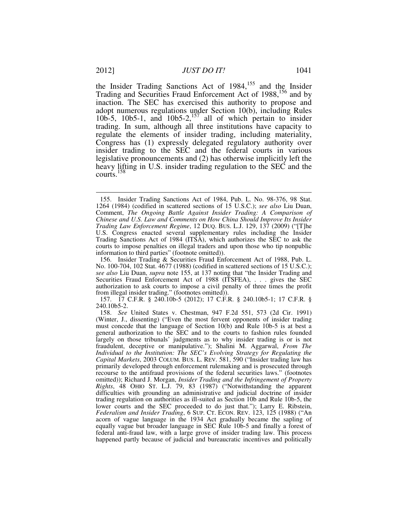the Insider Trading Sanctions Act of  $1984$ ,<sup>155</sup> and the Insider Trading and Securities Fraud Enforcement Act of 1988,<sup>156</sup> and by inaction. The SEC has exercised this authority to propose and adopt numerous regulations under Section 10(b), including Rules 10b-5, 10b5-1, and 10b5-2,<sup>157</sup> all of which pertain to insider trading. In sum, although all three institutions have capacity to regulate the elements of insider trading, including materiality, Congress has (1) expressly delegated regulatory authority over insider trading to the SEC and the federal courts in various legislative pronouncements and (2) has otherwise implicitly left the heavy lifting in U.S. insider trading regulation to the SEC and the courts.<sup>158</sup>

 <sup>155.</sup> Insider Trading Sanctions Act of 1984, Pub. L. No. 98-376, 98 Stat. 1264 (1984) (codified in scattered sections of 15 U.S.C.); *see also* Liu Duan, Comment, *The Ongoing Battle Against Insider Trading: A Comparison of Chinese and U.S. Law and Comments on How China Should Improve Its Insider Trading Law Enforcement Regime*, 12 DUQ. BUS. L.J. 129, 137 (2009) ("[T]he U.S. Congress enacted several supplementary rules including the Insider Trading Sanctions Act of 1984 (ITSA), which authorizes the SEC to ask the courts to impose penalties on illegal traders and upon those who tip nonpublic information to third parties" (footnote omitted)).

 <sup>156.</sup> Insider Trading & Securities Fraud Enforcement Act of 1988, Pub. L. No. 100-704, 102 Stat. 4677 (1988) (codified in scattered sections of 15 U.S.C.); *see also* Liu Duan, *supra* note 155, at 137 noting that "the Insider Trading and Securities Fraud Enforcement Act of 1988 (ITSFEA), . . . gives the SEC authorization to ask courts to impose a civil penalty of three times the profit from illegal insider trading." (footnotes omitted)).

 <sup>157. 17</sup> C.F.R. § 240.10b-5 (2012); 17 C.F.R. § 240.10b5-1; 17 C.F.R. § 240.10b5-2.

 <sup>158.</sup> *See* United States v. Chestman, 947 F.2d 551, 573 (2d Cir. 1991) (Winter, J., dissenting) ("Even the most fervent opponents of insider trading must concede that the language of Section 10(b) and Rule 10b-5 is at best a general authorization to the SEC and to the courts to fashion rules founded largely on those tribunals' judgments as to why insider trading is or is not fraudulent, deceptive or manipulative."); Shalini M. Aggarwal, *From The Individual to the Institution: The SEC's Evolving Strategy for Regulating the Capital Markets*, 2003 COLUM. BUS. L. REV. 581, 590 ("Insider trading law has primarily developed through enforcement rulemaking and is prosecuted through recourse to the antifraud provisions of the federal securities laws." (footnotes omitted)); Richard J. Morgan, *Insider Trading and the Infringement of Property Rights*, 48 OHIO ST. L.J. 79, 83 (1987) ("Notwithstanding the apparent difficulties with grounding an administrative and judicial doctrine of insider trading regulation on authorities as ill-suited as Section 10b and Rule 10b-5, the lower courts and the SEC proceeded to do just that."); Larry E. Ribstein, *Federalism and Insider Trading*, 6 SUP. CT. ECON. REV. 123, 125 (1988) ("An acorn of vague language in the 1934 Act gradually became the sapling of equally vague but broader language in SEC Rule 10b-5 and finally a forest of federal anti-fraud law, with a large grove of insider trading law. This process happened partly because of judicial and bureaucratic incentives and politically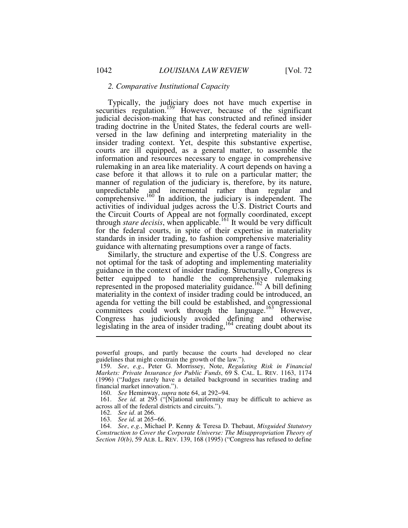# *2. Comparative Institutional Capacity*

Typically, the judiciary does not have much expertise in securities regulation.<sup>159</sup> However, because of the significant judicial decision-making that has constructed and refined insider trading doctrine in the United States, the federal courts are wellversed in the law defining and interpreting materiality in the insider trading context. Yet, despite this substantive expertise, courts are ill equipped, as a general matter, to assemble the information and resources necessary to engage in comprehensive rulemaking in an area like materiality. A court depends on having a case before it that allows it to rule on a particular matter; the manner of regulation of the judiciary is, therefore, by its nature, unpredictable and incremental rather than regular and comprehensive.<sup>160</sup> In addition, the judiciary is independent. The activities of individual judges across the U.S. District Courts and the Circuit Courts of Appeal are not formally coordinated, except through *stare decisis*, when applicable.<sup>161</sup> It would be very difficult for the federal courts, in spite of their expertise in materiality standards in insider trading, to fashion comprehensive materiality guidance with alternating presumptions over a range of facts.

Similarly, the structure and expertise of the U.S. Congress are not optimal for the task of adopting and implementing materiality guidance in the context of insider trading. Structurally, Congress is better equipped to handle the comprehensive rulemaking represented in the proposed materiality guidance.<sup>162</sup> A bill defining materiality in the context of insider trading could be introduced, an agenda for vetting the bill could be established, and congressional committees could work through the language.<sup>163</sup> However, Congress has judiciously avoided defining and otherwise legislating in the area of insider trading,  $164$  creating doubt about its

powerful groups, and partly because the courts had developed no clear guidelines that might constrain the growth of the law.").

 <sup>159.</sup> *See*, *e.g*., Peter G. Morrissey, Note, *Regulating Risk in Financial Markets: Private Insurance for Public Funds*, 69 S. CAL. L. REV. 1163, 1174 (1996) ("Judges rarely have a detailed background in securities trading and financial market innovation.").

 <sup>160.</sup> *See* Heminway, *supra* note 64, at 292−94.

 <sup>161.</sup> *See id.* at 295 ("[N]ational uniformity may be difficult to achieve as across all of the federal districts and circuits.").

 <sup>162.</sup> *See id*. at 266.

 <sup>163.</sup> *See id.* at 265−66.

 <sup>164.</sup> *See*, *e.g.*, Michael P. Kenny & Teresa D. Thebaut, *Misguided Statutory Construction to Cover the Corporate Universe: The Misappropriation Theory of Section 10(b)*, 59 ALB. L. REV. 139, 168 (1995) ("Congress has refused to define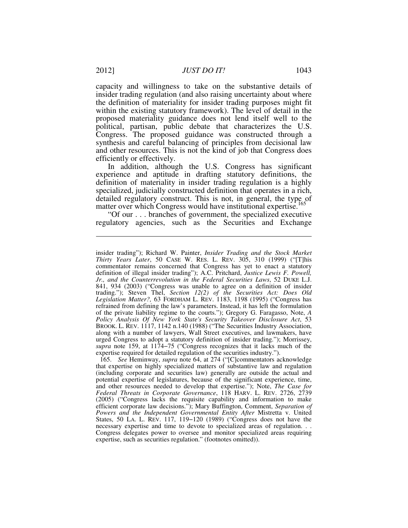capacity and willingness to take on the substantive details of insider trading regulation (and also raising uncertainty about where the definition of materiality for insider trading purposes might fit within the existing statutory framework). The level of detail in the proposed materiality guidance does not lend itself well to the political, partisan, public debate that characterizes the U.S. Congress. The proposed guidance was constructed through a synthesis and careful balancing of principles from decisional law and other resources. This is not the kind of job that Congress does efficiently or effectively.

In addition, although the U.S. Congress has significant experience and aptitude in drafting statutory definitions, the definition of materiality in insider trading regulation is a highly specialized, judicially constructed definition that operates in a rich, detailed regulatory construct. This is not, in general, the type of matter over which Congress would have institutional expertise.<sup>105</sup>

"Of our . . . branches of government, the specialized executive regulatory agencies, such as the Securities and Exchange

insider trading"); Richard W. Painter, *Insider Trading and the Stock Market Thirty Years Later*, 50 CASE W. RES. L. REV. 305, 310 (1999) ("[T]his commentator remains concerned that Congress has yet to enact a statutory definition of illegal insider trading"); A.C. Pritchard, *Justice Lewis F. Powell, Jr., and the Counterrevolution in the Federal Securities Laws*, 52 DUKE L.J. 841, 934 (2003) ("Congress was unable to agree on a definition of insider trading."); Steven Thel, *Section 12(2) of the Securities Act: Does Old Legislation Matter?,* 63 FORDHAM L. REV. 1183, 1198 (1995) ("Congress has refrained from defining the law's parameters. Instead, it has left the formulation of the private liability regime to the courts."); Gregory G. Faragasso, Note, *A Policy Analysis Of New York State's Security Takeover Disclosure Act*, 53 BROOK. L. REV. 1117, 1142 n.140 (1988) ("The Securities Industry Association, along with a number of lawyers, Wall Street executives, and lawmakers, have urged Congress to adopt a statutory definition of insider trading."); Morrissey, *supra* note 159, at 1174−75 ("Congress recognizes that it lacks much of the expertise required for detailed regulation of the securities industry.").

 <sup>165.</sup> *See* Heminway, *supra* note 64, at 274 ("[C]commentators acknowledge that expertise on highly specialized matters of substantive law and regulation (including corporate and securities law) generally are outside the actual and potential expertise of legislatures, because of the significant experience, time, and other resources needed to develop that expertise."); Note, *The Case for Federal Threats in Corporate Governance*, 118 HARV. L. REV. 2726, 2739 (2005) ("Congress lacks the requisite capability and information to make efficient corporate law decisions."); Mary Buffington, Comment, *Separation of Powers and the Independent Governmental Entity After* Mistretta v. United States, 50 LA. L. REV. 117, 119−120 (1989) ("Congress does not have the necessary expertise and time to devote to specialized areas of regulation. . . Congress delegates power to oversee and monitor specialized areas requiring expertise, such as securities regulation." (footnotes omitted)).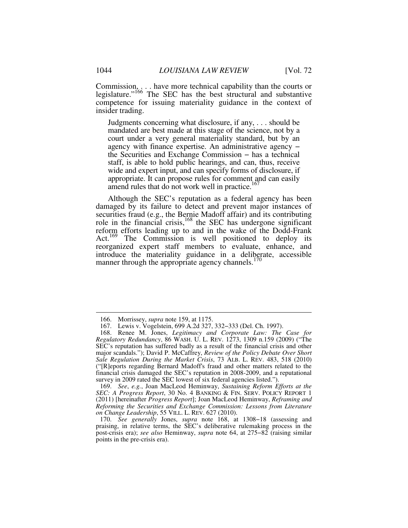Commission,  $\ldots$  have more technical capability than the courts or legislature."<sup>166</sup> The SEC has the best structural and substantive competence for issuing materiality guidance in the context of insider trading.

Judgments concerning what disclosure, if any, . . . should be mandated are best made at this stage of the science, not by a court under a very general materiality standard, but by an agency with finance expertise. An administrative agency − the Securities and Exchange Commission − has a technical staff, is able to hold public hearings, and can, thus, receive wide and expert input, and can specify forms of disclosure, if appropriate. It can propose rules for comment and can easily amend rules that do not work well in practice.<sup>167</sup>

Although the SEC's reputation as a federal agency has been damaged by its failure to detect and prevent major instances of securities fraud (e.g., the Bernie Madoff affair) and its contributing role in the financial crisis,  $168$  the SEC has undergone significant reform efforts leading up to and in the wake of the Dodd-Frank Act.<sup>169</sup> The Commission is well positioned to deploy its reorganized expert staff members to evaluate, enhance, and introduce the materiality guidance in a deliberate, accessible manner through the appropriate agency channels.<sup>170</sup>

 <sup>166.</sup> Morrissey, *supra* note 159, at 1175.

 <sup>167.</sup> Lewis v. Vogelstein, 699 A.2d 327, 332−333 (Del. Ch. 1997).

 <sup>168.</sup> Renee M. Jones, *Legitimacy and Corporate Law: The Case for Regulatory Redundancy*, 86 WASH. U. L. REV. 1273, 1309 n.159 (2009) ("The SEC's reputation has suffered badly as a result of the financial crisis and other major scandals."); David P. McCaffrey, *Review of the Policy Debate Over Short Sale Regulation During the Market Crisis*, 73 ALB. L. REV. 483, 518 (2010) ("[R]eports regarding Bernard Madoff's fraud and other matters related to the financial crisis damaged the SEC's reputation in 2008-2009, and a reputational survey in 2009 rated the SEC lowest of six federal agencies listed.").

 <sup>169.</sup> *See*, *e.g.*, Joan MacLeod Heminway, *Sustaining Reform Efforts at the SEC: A Progress Report*, 30 No. 4 BANKING & FIN. SERV. POLICY REPORT 1 (2011) [hereinafter *Progress Report*]; Joan MacLeod Heminway, *Reframing and Reforming the Securities and Exchange Commission: Lessons from Literature on Change Leadership*, 55 VILL. L. REV. 627 (2010).

 <sup>170.</sup> *See generally* Jones, *supra* note 168, at 1308−18 (assessing and praising, in relative terms, the SEC's deliberative rulemaking process in the post-crisis era); *see also* Heminway, *supra* note 64, at 275−82 (raising similar points in the pre-crisis era).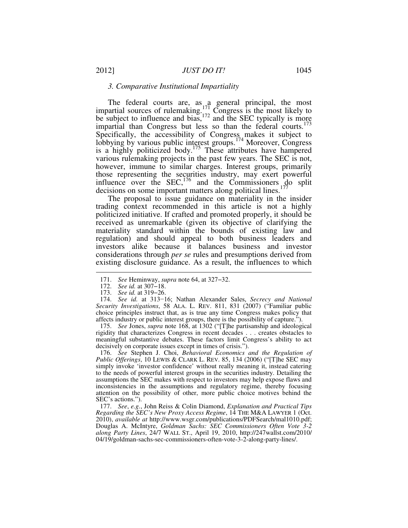#### *3. Comparative Institutional Impartiality*

The federal courts are, as a general principal, the most impartial sources of rulemaking.<sup>171</sup> Congress is the most likely to be subject to influence and bias,  $172$  and the SEC typically is more impartial than Congress but less so than the federal courts.<sup>173</sup> Specifically, the accessibility of Congress makes it subject to lobbying by various public interest groups.<sup>174</sup> Moreover, Congress is a highly politicized body.<sup>175</sup> These attributes have hampered various rulemaking projects in the past few years. The SEC is not, however, immune to similar charges. Interest groups, primarily those representing the securities industry, may exert powerful influence over the SEC,  $176$  and the Commissioners do split decisions on some important matters along political lines.<sup>17</sup>

The proposal to issue guidance on materiality in the insider trading context recommended in this article is not a highly politicized initiative. If crafted and promoted properly, it should be received as unremarkable (given its objective of clarifying the materiality standard within the bounds of existing law and regulation) and should appeal to both business leaders and investors alike because it balances business and investor considerations through *per se* rules and presumptions derived from existing disclosure guidance. As a result, the influences to which

-

 175. *See* Jones, *supra* note 168, at 1302 ("[T]he partisanship and ideological rigidity that characterizes Congress in recent decades . . . creates obstacles to meaningful substantive debates. These factors limit Congress's ability to act decisively on corporate issues except in times of crisis.").

 176. *See* Stephen J. Choi, *Behavioral Economics and the Regulation of Public Offerings*, 10 LEWIS & CLARK L. REV. 85, 134 (2006) ("[T]he SEC may simply invoke 'investor confidence' without really meaning it, instead catering to the needs of powerful interest groups in the securities industry. Detailing the assumptions the SEC makes with respect to investors may help expose flaws and inconsistencies in the assumptions and regulatory regime, thereby focusing attention on the possibility of other, more public choice motives behind the SEC's actions.").

 177. *See*, *e.g.*, John Reiss & Colin Diamond, *Explanation and Practical Tips Regarding the SEC's New Proxy Access Regime*, 14 THE M&A LAWYER 1 (Oct. 2010), *available at* http://www.wsgr.com/publications/PDFSearch/mal1010.pdf; Douglas A. McIntyre, *Goldman Sachs: SEC Commissioners Often Vote 3-2 along Party Lines*, 24/7 WALL ST., April 19, 2010, http://247wallst.com/2010/ 04/19/goldman-sachs-sec-commissioners-often-vote-3-2-along-party-lines/.

 <sup>171.</sup> *See* Heminway, *supra* note 64, at 327−32.

 <sup>172.</sup> *See id.* at 307−18.

 <sup>173.</sup> *See id.* at 319−26.

 <sup>174.</sup> *See id.* at 313−16; Nathan Alexander Sales, *Secrecy and National Security Investigations*, 58 ALA. L. REV. 811, 831 (2007) ("Familiar public choice principles instruct that, as is true any time Congress makes policy that affects industry or public interest groups, there is the possibility of capture.").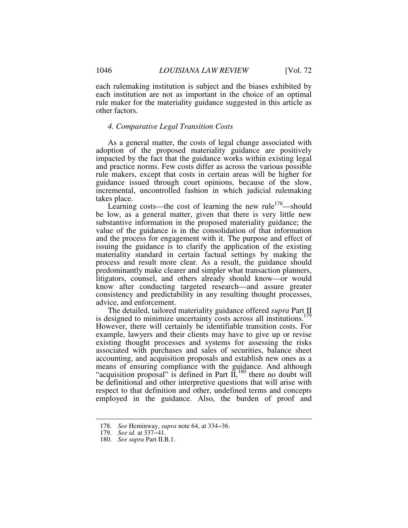each rulemaking institution is subject and the biases exhibited by each institution are not as important in the choice of an optimal rule maker for the materiality guidance suggested in this article as other factors.

#### *4. Comparative Legal Transition Costs*

As a general matter, the costs of legal change associated with adoption of the proposed materiality guidance are positively impacted by the fact that the guidance works within existing legal and practice norms. Few costs differ as across the various possible rule makers, except that costs in certain areas will be higher for guidance issued through court opinions, because of the slow, incremental, uncontrolled fashion in which judicial rulemaking takes place.

Learning costs—the cost of learning the new rule<sup>178</sup>—should be low, as a general matter, given that there is very little new substantive information in the proposed materiality guidance; the value of the guidance is in the consolidation of that information and the process for engagement with it. The purpose and effect of issuing the guidance is to clarify the application of the existing materiality standard in certain factual settings by making the process and result more clear. As a result, the guidance should predominantly make clearer and simpler what transaction planners, litigators, counsel, and others already should know—or would know after conducting targeted research—and assure greater consistency and predictability in any resulting thought processes, advice, and enforcement.

The detailed, tailored materiality guidance offered *supra* Part II is designed to minimize uncertainty costs across all institutions.<sup>179</sup> However, there will certainly be identifiable transition costs. For example, lawyers and their clients may have to give up or revise existing thought processes and systems for assessing the risks associated with purchases and sales of securities, balance sheet accounting, and acquisition proposals and establish new ones as a means of ensuring compliance with the guidance. And although "acquisition proposal" is defined in Part  $\tilde{II}$ ,<sup>180</sup> there no doubt will be definitional and other interpretive questions that will arise with respect to that definition and other, undefined terms and concepts employed in the guidance. Also, the burden of proof and

 <sup>178.</sup> *See* Heminway, *supra* note 64, at 334−36.

 <sup>179.</sup> *See id.* at 337−41.

 <sup>180.</sup> *See supra* Part II.B.1.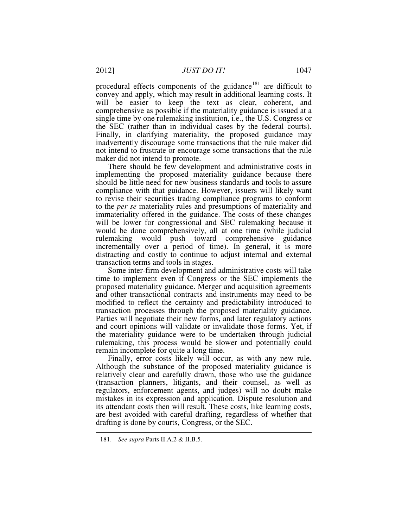procedural effects components of the guidance<sup>181</sup> are difficult to convey and apply, which may result in additional learning costs. It will be easier to keep the text as clear, coherent, and comprehensive as possible if the materiality guidance is issued at a single time by one rulemaking institution, i.e., the U.S. Congress or the SEC (rather than in individual cases by the federal courts). Finally, in clarifying materiality, the proposed guidance may inadvertently discourage some transactions that the rule maker did not intend to frustrate or encourage some transactions that the rule maker did not intend to promote.

There should be few development and administrative costs in implementing the proposed materiality guidance because there should be little need for new business standards and tools to assure compliance with that guidance. However, issuers will likely want to revise their securities trading compliance programs to conform to the *per se* materiality rules and presumptions of materiality and immateriality offered in the guidance. The costs of these changes will be lower for congressional and SEC rulemaking because it would be done comprehensively, all at one time (while judicial rulemaking would push toward comprehensive guidance incrementally over a period of time). In general, it is more distracting and costly to continue to adjust internal and external transaction terms and tools in stages.

Some inter-firm development and administrative costs will take time to implement even if Congress or the SEC implements the proposed materiality guidance. Merger and acquisition agreements and other transactional contracts and instruments may need to be modified to reflect the certainty and predictability introduced to transaction processes through the proposed materiality guidance. Parties will negotiate their new forms, and later regulatory actions and court opinions will validate or invalidate those forms. Yet, if the materiality guidance were to be undertaken through judicial rulemaking, this process would be slower and potentially could remain incomplete for quite a long time.

Finally, error costs likely will occur, as with any new rule. Although the substance of the proposed materiality guidance is relatively clear and carefully drawn, those who use the guidance (transaction planners, litigants, and their counsel, as well as regulators, enforcement agents, and judges) will no doubt make mistakes in its expression and application. Dispute resolution and its attendant costs then will result. These costs, like learning costs, are best avoided with careful drafting, regardless of whether that drafting is done by courts, Congress, or the SEC.

 <sup>181.</sup> *See supra* Parts II.A.2 & II.B.5.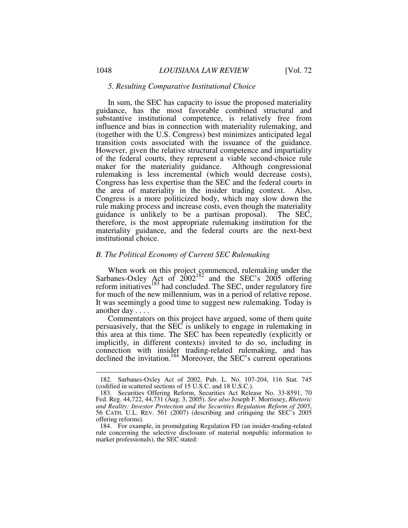#### *5. Resulting Comparative Institutional Choice*

In sum, the SEC has capacity to issue the proposed materiality guidance, has the most favorable combined structural and substantive institutional competence, is relatively free from influence and bias in connection with materiality rulemaking, and (together with the U.S. Congress) best minimizes anticipated legal transition costs associated with the issuance of the guidance. However, given the relative structural competence and impartiality of the federal courts, they represent a viable second-choice rule maker for the materiality guidance. Although congressional rulemaking is less incremental (which would decrease costs), Congress has less expertise than the SEC and the federal courts in the area of materiality in the insider trading context. Also, Congress is a more politicized body, which may slow down the rule making process and increase costs, even though the materiality guidance is unlikely to be a partisan proposal). The SEC, therefore, is the most appropriate rulemaking institution for the materiality guidance, and the federal courts are the next-best institutional choice.

#### *B. The Political Economy of Current SEC Rulemaking*

When work on this project commenced, rulemaking under the Sarbanes-Oxley Act of  $2002^{182}$  and the SEC's 2005 offering reform initiatives<sup>183</sup> had concluded. The SEC, under regulatory fire for much of the new millennium, was in a period of relative repose. It was seemingly a good time to suggest new rulemaking. Today is another day . . . .

Commentators on this project have argued, some of them quite persuasively, that the SEC is unlikely to engage in rulemaking in this area at this time. The SEC has been repeatedly (explicitly or implicitly, in different contexts) invited to do so, including in connection with insider trading-related rulemaking, and has declined the invitation.<sup>184</sup> Moreover, the SEC's current operations

 <sup>182.</sup> Sarbanes-Oxley Act of 2002, Pub. L. No. 107-204, 116 Stat. 745 (codified in scattered sections of 15 U.S.C. and 18 U.S.C.).

 <sup>183.</sup> Securities Offering Reform, Securities Act Release No. 33-8591, 70 Fed. Reg. 44,722, 44,731 (Aug. 3, 2005). *See also* Joseph F. Morrissey, *Rhetoric and Reality: Investor Protection and the Securities Regulation Reform of 2005*, 56 CATH. U.L. REV. 561 (2007) (describing and critiquing the SEC's 2005 offering reforms).

 <sup>184.</sup> For example, in promulgating Regulation FD (an insider-trading-related rule concerning the selective disclosure of material nonpublic information to market professionals), the SEC stated: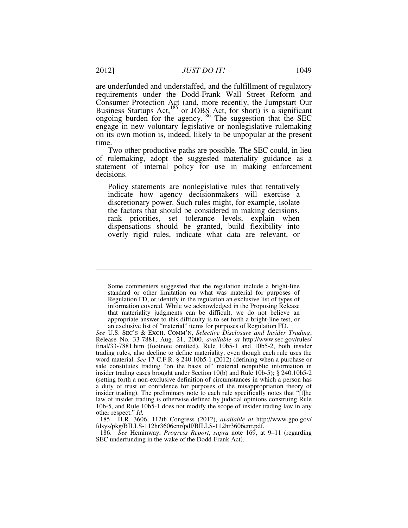are underfunded and understaffed, and the fulfillment of regulatory requirements under the Dodd-Frank Wall Street Reform and Consumer Protection Act (and, more recently, the Jumpstart Our Business Startups Act,<sup>185</sup> or JOBS Act, for short) is a significant ongoing burden for the agency.<sup>186</sup> The suggestion that the SEC engage in new voluntary legislative or nonlegislative rulemaking on its own motion is, indeed, likely to be unpopular at the present time.

Two other productive paths are possible. The SEC could, in lieu of rulemaking, adopt the suggested materiality guidance as a statement of internal policy for use in making enforcement decisions.

Policy statements are nonlegislative rules that tentatively indicate how agency decisionmakers will exercise a discretionary power. Such rules might, for example, isolate the factors that should be considered in making decisions, rank priorities, set tolerance levels, explain when dispensations should be granted, build flexibility into overly rigid rules, indicate what data are relevant, or

 185. H.R. 3606, 112th Congress (2012), *available at* http://www.gpo.gov/ fdsys/pkg/BILLS-112hr3606enr/pdf/BILLS-112hr3606enr.pdf.

 186. *See* Heminway, *Progress Report*, *supra* note 169, at 9–11 (regarding SEC underfunding in the wake of the Dodd-Frank Act).

<u>.</u>

Some commenters suggested that the regulation include a bright-line standard or other limitation on what was material for purposes of Regulation FD, or identify in the regulation an exclusive list of types of information covered. While we acknowledged in the Proposing Release that materiality judgments can be difficult, we do not believe an appropriate answer to this difficulty is to set forth a bright-line test, or an exclusive list of "material" items for purposes of Regulation FD.

*See* U.S. SEC'S & EXCH. COMM'N, *Selective Disclosure and Insider Trading*, Release No. 33-7881, Aug. 21, 2000, *available at* http://www.sec.gov/rules/ final/33-7881.htm (footnote omitted). Rule 10b5-1 and 10b5-2, both insider trading rules, also decline to define materiality, even though each rule uses the word material. *See* 17 C.F.R. § 240.10b5-1 (2012) (defining when a purchase or sale constitutes trading "on the basis of" material nonpublic information in insider trading cases brought under Section 10(b) and Rule 10b-5); § 240.10b5-2 (setting forth a non-exclusive definition of circumstances in which a person has a duty of trust or confidence for purposes of the misappropriation theory of insider trading). The preliminary note to each rule specifically notes that "[t]he law of insider trading is otherwise defined by judicial opinions construing Rule 10b-5, and Rule 10b5-1 does not modify the scope of insider trading law in any other respect." *Id.*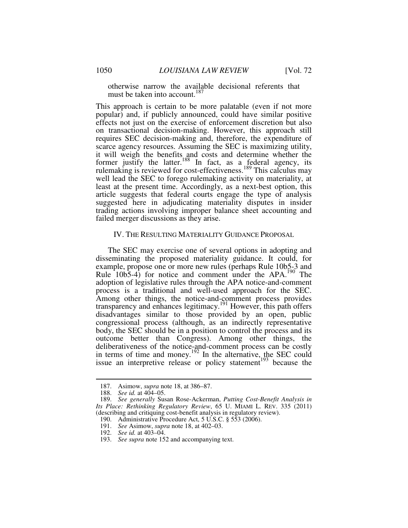otherwise narrow the available decisional referents that must be taken into account.<sup>187</sup>

This approach is certain to be more palatable (even if not more popular) and, if publicly announced, could have similar positive effects not just on the exercise of enforcement discretion but also on transactional decision-making. However, this approach still requires SEC decision-making and, therefore, the expenditure of scarce agency resources. Assuming the SEC is maximizing utility, it will weigh the benefits and costs and determine whether the former justify the latter.<sup>188</sup> In fact, as a federal agency, its rulemaking is reviewed for cost-effectiveness.<sup>189</sup> This calculus may well lead the SEC to forego rulemaking activity on materiality, at least at the present time. Accordingly, as a next-best option, this article suggests that federal courts engage the type of analysis suggested here in adjudicating materiality disputes in insider trading actions involving improper balance sheet accounting and failed merger discussions as they arise.

#### IV. THE RESULTING MATERIALITY GUIDANCE PROPOSAL

The SEC may exercise one of several options in adopting and disseminating the proposed materiality guidance. It could, for example, propose one or more new rules (perhaps Rule 10b5-3 and Rule 10b5-4) for notice and comment under the APA.<sup>190</sup> The adoption of legislative rules through the APA notice-and-comment process is a traditional and well-used approach for the SEC. Among other things, the notice-and-comment process provides transparency and enhances legitimacy.<sup>191</sup> However, this path offers disadvantages similar to those provided by an open, public congressional process (although, as an indirectly representative body, the SEC should be in a position to control the process and its outcome better than Congress). Among other things, the deliberativeness of the notice-and-comment process can be costly in terms of time and money.<sup>192</sup> In the alternative, the SEC could issue an interpretive release or policy statement<sup>193</sup> because the

 <sup>187.</sup> Asimow, *supra* note 18, at 386–87.

 <sup>188.</sup> *See id.* at 404–05.

 <sup>189.</sup> *See generally* Susan Rose-Ackerman, *Putting Cost-Benefit Analysis in Its Place: Rethinking Regulatory Review*, 65 U. MIAMI L. REV. 335 (2011) (describing and critiquing cost-benefit analysis in regulatory review).

 <sup>190.</sup> Administrative Procedure Act, 5 U.S.C. § 553 (2006).

 <sup>191.</sup> *See* Asimow, *supra* note 18, at 402–03.

 <sup>192.</sup> *See id.* at 403–04.

 <sup>193.</sup> *See supra* note 152 and accompanying text.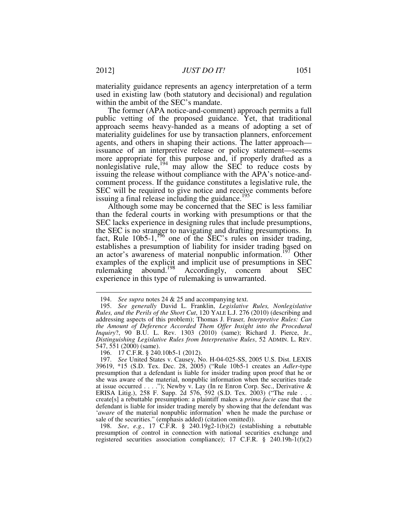materiality guidance represents an agency interpretation of a term used in existing law (both statutory and decisional) and regulation within the ambit of the SEC's mandate.

The former (APA notice-and-comment) approach permits a full public vetting of the proposed guidance. Yet, that traditional approach seems heavy-handed as a means of adopting a set of materiality guidelines for use by transaction planners, enforcement agents, and others in shaping their actions. The latter approach issuance of an interpretive release or policy statement—seems more appropriate for this purpose and, if properly drafted as a nonlegislative rule,<sup>194</sup> may allow the SEC to reduce costs by issuing the release without compliance with the APA's notice-andcomment process. If the guidance constitutes a legislative rule, the SEC will be required to give notice and receive comments before issuing a final release including the guidance.<sup>195</sup>

Although some may be concerned that the SEC is less familiar than the federal courts in working with presumptions or that the SEC lacks experience in designing rules that include presumptions, the SEC is no stranger to navigating and drafting presumptions. In fact, Rule  $10b5-1$ ,<sup>196</sup> one of the SEC's rules on insider trading, establishes a presumption of liability for insider trading based on an actor's awareness of material nonpublic information.<sup>197</sup> Other examples of the explicit and implicit use of presumptions in SEC rulemaking abound.<sup>198</sup> Accordingly, concern about SEC experience in this type of rulemaking is unwarranted.

 <sup>194.</sup> *See supra* notes 24 & 25 and accompanying text.

 <sup>195.</sup> *See generally* David L. Franklin, *Legislative Rules, Nonlegislative Rules, and the Perils of the Short Cut*, 120 YALE L.J. 276 (2010) (describing and addressing aspects of this problem); Thomas J. Fraser*, Interpretive Rules: Can the Amount of Deference Accorded Them Offer Insight into the Procedural Inquiry*?, 90 B.U. L. Rev. 1303 (2010) (same); Richard J. Pierce, Jr., *Distinguishing Legislative Rules from Interpretative Rules*, 52 ADMIN. L. REV. 547, 551 (2000) (same).

 <sup>196. 17</sup> C.F.R. § 240.10b5-1 (2012).

 <sup>197.</sup> *See* United States v. Causey, No. H-04-025-SS, 2005 U.S. Dist. LEXIS 39619, \*15 (S.D. Tex. Dec. 28, 2005) ("Rule 10b5-1 creates an *Adler*-type presumption that a defendant is liable for insider trading upon proof that he or she was aware of the material, nonpublic information when the securities trade at issue occurred . . . ."); Newby v. Lay (In re Enron Corp. Sec., Derivative & ERISA Litig.), 258 F. Supp. 2d 576, 592 (S.D. Tex. 2003) ("The rule . . . create[s] a rebuttable presumption: a plaintiff makes a *prima facie* case that the defendant is liable for insider trading merely by showing that the defendant was '*aware* of the material nonpublic information' when he made the purchase or sale of the securities." (emphasis added) (citation omitted)).

 <sup>198.</sup> *See*, *e.g.*, 17 C.F.R. § 240.19g2-1(b)(2) (establishing a rebuttable presumption of control in connection with national securities exchange and registered securities association compliance); 17 C.F.R. § 240.19h-1(f)(2)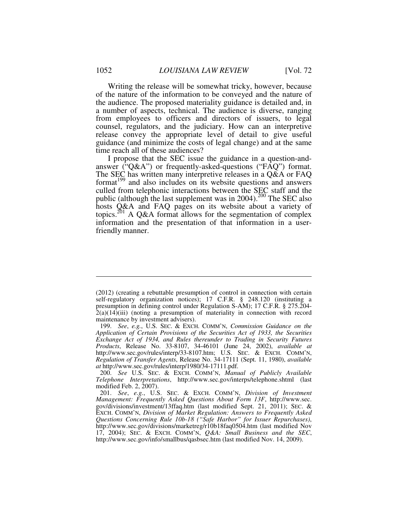Writing the release will be somewhat tricky, however, because of the nature of the information to be conveyed and the nature of the audience. The proposed materiality guidance is detailed and, in a number of aspects, technical. The audience is diverse, ranging from employees to officers and directors of issuers, to legal counsel, regulators, and the judiciary. How can an interpretive release convey the appropriate level of detail to give useful guidance (and minimize the costs of legal change) and at the same time reach all of these audiences?

I propose that the SEC issue the guidance in a question-andanswer ("Q&A") or frequently-asked-questions ("FAQ") format. The SEC has written many interpretive releases in a Q&A or FAQ format<sup>199</sup> and also includes on its website questions and answers culled from telephonic interactions between the SEC staff and the public (although the last supplement was in  $2004$ ).<sup>200</sup> The SEC also hosts Q&A and FAQ pages on its website about a variety of topics.<sup>201</sup> A Q&A format allows for the segmentation of complex information and the presentation of that information in a userfriendly manner.

<sup>(2012) (</sup>creating a rebuttable presumption of control in connection with certain self-regulatory organization notices); 17 C.F.R. § 248.120 (instituting a presumption in defining control under Regulation S-AM); 17 C.F.R. § 275.204-  $2(a)(14)(iii)$  (noting a presumption of materiality in connection with record maintenance by investment advisers).

 <sup>199.</sup> *See*, *e.g.*, U.S. SEC. & EXCH. COMM'N, *Commission Guidance on the Application of Certain Provisions of the Securities Act of 1933, the Securities Exchange Act of 1934, and Rules thereunder to Trading in Security Futures Products*, Release No. 33-8107, 34-46101 (June 24, 2002), *available at*  http://www.sec.gov/rules/interp/33-8107.htm; U.S. SEC. & EXCH. COMM'N, *Regulation of Transfer Agents*, Release No. 34-17111 (Sept. 11, 1980), *available at* http://www.sec.gov/rules/interp/1980/34-17111.pdf.

 <sup>200.</sup> *See* U.S. SEC. & EXCH. COMM'N, *Manual of Publicly Available Telephone Interpretations*, http://www.sec.gov/interps/telephone.shtml (last modified Feb. 2, 2007).

 <sup>201.</sup> *See*, *e.g.*, U.S. SEC. & EXCH. COMM'N, *Division of Investment Management: Frequently Asked Questions About Form 13F*, http://www.sec. gov/divisions/investment/13ffaq.htm (last modified Sept. 21, 2011); SEC. & EXCH. COMM'N, *Division of Market Regulation: Answers to Frequently Asked Questions Concerning Rule 10b-18 ("Safe Harbor" for Issuer Repurchases)*, http://www.sec.gov/divisions/marketreg/r10b18faq0504.htm (last modified Nov 17, 2004); SEC. & EXCH. COMM'N, *Q&A: Small Business and the SEC*, http://www.sec.gov/info/smallbus/qasbsec.htm (last modified Nov. 14, 2009).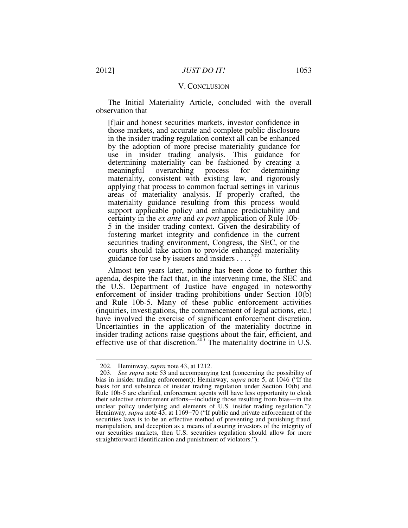#### V. CONCLUSION

The Initial Materiality Article, concluded with the overall observation that

[f]air and honest securities markets, investor confidence in those markets, and accurate and complete public disclosure in the insider trading regulation context all can be enhanced by the adoption of more precise materiality guidance for use in insider trading analysis. This guidance for determining materiality can be fashioned by creating a meaningful overarching process for determining materiality, consistent with existing law, and rigorously applying that process to common factual settings in various areas of materiality analysis. If properly crafted, the materiality guidance resulting from this process would support applicable policy and enhance predictability and certainty in the *ex ante* and *ex post* application of Rule 10b-5 in the insider trading context. Given the desirability of fostering market integrity and confidence in the current securities trading environment, Congress, the SEC, or the courts should take action to provide enhanced materiality guidance for use by issuers and insiders  $\dots$ <sup>202</sup>

Almost ten years later, nothing has been done to further this agenda, despite the fact that, in the intervening time, the SEC and the U.S. Department of Justice have engaged in noteworthy enforcement of insider trading prohibitions under Section 10(b) and Rule 10b-5. Many of these public enforcement activities (inquiries, investigations, the commencement of legal actions, etc.) have involved the exercise of significant enforcement discretion. Uncertainties in the application of the materiality doctrine in insider trading actions raise questions about the fair, efficient, and effective use of that discretion.<sup>203</sup> The materiality doctrine in U.S.

 <sup>202.</sup> Heminway, *supra* note 43, at 1212.

 <sup>203.</sup> *See supra* note 53 and accompanying text (concerning the possibility of bias in insider trading enforcement); Heminway, *supra* note 5, at 1046 ("If the basis for and substance of insider trading regulation under Section 10(b) and Rule 10b-5 are clarified, enforcement agents will have less opportunity to cloak their selective enforcement efforts—including those resulting from bias—in the unclear policy underlying and elements of U.S. insider trading regulation."); Heminway, *supra* note 43, at 1169−70 ("If public and private enforcement of the securities laws is to be an effective method of preventing and punishing fraud, manipulation, and deception as a means of assuring investors of the integrity of our securities markets, then U.S. securities regulation should allow for more straightforward identification and punishment of violators.").